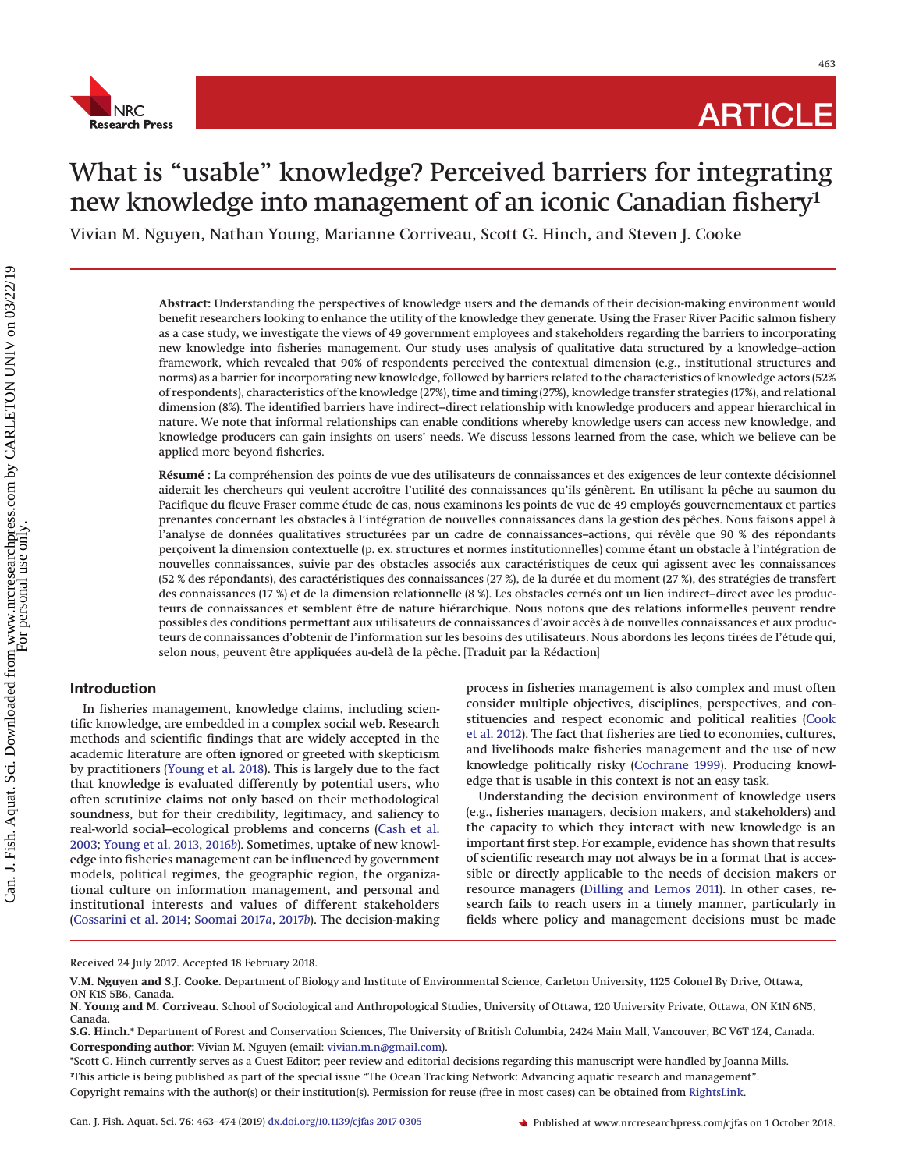

463

# What is "usable" knowledge? Perceived barriers for integrating new knowledge into management of an iconic Canadian fishery1

Vivian M. Nguyen, Nathan Young, Marianne Corriveau, Scott G. Hinch, and Steven J. Cooke

**Abstract:** Understanding the perspectives of knowledge users and the demands of their decision-making environment would benefit researchers looking to enhance the utility of the knowledge they generate. Using the Fraser River Pacific salmon fishery as a case study, we investigate the views of 49 government employees and stakeholders regarding the barriers to incorporating new knowledge into fisheries management. Our study uses analysis of qualitative data structured by a knowledge–action framework, which revealed that 90% of respondents perceived the contextual dimension (e.g., institutional structures and norms) as a barrier for incorporating new knowledge, followed by barriers related to the characteristics of knowledge actors (52% of respondents), characteristics of the knowledge (27%), time and timing (27%), knowledge transfer strategies (17%), and relational dimension (8%). The identified barriers have indirect–direct relationship with knowledge producers and appear hierarchical in nature. We note that informal relationships can enable conditions whereby knowledge users can access new knowledge, and knowledge producers can gain insights on users' needs. We discuss lessons learned from the case, which we believe can be applied more beyond fisheries.

**Résumé :** La compréhension des points de vue des utilisateurs de connaissances et des exigences de leur contexte décisionnel aiderait les chercheurs qui veulent accroître l'utilité des connaissances qu'ils génèrent. En utilisant la pêche au saumon du Pacifique du fleuve Fraser comme étude de cas, nous examinons les points de vue de 49 employés gouvernementaux et parties prenantes concernant les obstacles à l'intégration de nouvelles connaissances dans la gestion des pêches. Nous faisons appel à l'analyse de données qualitatives structurées par un cadre de connaissances–actions, qui révèle que 90 % des répondants perçoivent la dimension contextuelle (p. ex. structures et normes institutionnelles) comme étant un obstacle à l'intégration de nouvelles connaissances, suivie par des obstacles associés aux caractéristiques de ceux qui agissent avec les connaissances (52 % des répondants), des caractéristiques des connaissances (27 %), de la durée et du moment (27 %), des stratégies de transfert des connaissances (17 %) et de la dimension relationnelle (8 %). Les obstacles cernés ont un lien indirect–direct avec les producteurs de connaissances et semblent être de nature hiérarchique. Nous notons que des relations informelles peuvent rendre possibles des conditions permettant aux utilisateurs de connaissances d'avoir accès à de nouvelles connaissances et aux producteurs de connaissances d'obtenir de l'information sur les besoins des utilisateurs. Nous abordons les leçons tirées de l'étude qui, selon nous, peuvent être appliquées au-delà de la pêche. [Traduit par la Rédaction]

# **Introduction**

In fisheries management, knowledge claims, including scientific knowledge, are embedded in a complex social web. Research methods and scientific findings that are widely accepted in the academic literature are often ignored or greeted with skepticism by practitioners [\(Young et al. 2018\)](#page-11-0). This is largely due to the fact that knowledge is evaluated differently by potential users, who often scrutinize claims not only based on their methodological soundness, but for their credibility, legitimacy, and saliency to real-world social–ecological problems and concerns [\(Cash et al.](#page-9-0) [2003;](#page-9-0) [Young et al. 2013,](#page-11-1) [2016](#page-11-2)*b*). Sometimes, uptake of new knowledge into fisheries management can be influenced by government models, political regimes, the geographic region, the organizational culture on information management, and personal and institutional interests and values of different stakeholders [\(Cossarini et al. 2014;](#page-10-0) [Soomai 2017](#page-10-1)*a*, [2017](#page-11-3)*b*). The decision-making process in fisheries management is also complex and must often consider multiple objectives, disciplines, perspectives, and constituencies and respect economic and political realities [\(Cook](#page-9-1) [et al. 2012\)](#page-9-1). The fact that fisheries are tied to economies, cultures, and livelihoods make fisheries management and the use of new knowledge politically risky [\(Cochrane 1999\)](#page-9-2). Producing knowledge that is usable in this context is not an easy task.

Understanding the decision environment of knowledge users (e.g., fisheries managers, decision makers, and stakeholders) and the capacity to which they interact with new knowledge is an important first step. For example, evidence has shown that results of scientific research may not always be in a format that is accessible or directly applicable to the needs of decision makers or resource managers [\(Dilling and Lemos 2011\)](#page-10-2). In other cases, research fails to reach users in a timely manner, particularly in fields where policy and management decisions must be made

Received 24 July 2017. Accepted 18 February 2018.

**V.M. Nguyen and S.J. Cooke.** Department of Biology and Institute of Environmental Science, Carleton University, 1125 Colonel By Drive, Ottawa, ON K1S 5B6, Canada.

**N. Young and M. Corriveau.** School of Sociological and Anthropological Studies, University of Ottawa, 120 University Private, Ottawa, ON K1N 6N5, Canada.

**S.G. Hinch.\*** Department of Forest and Conservation Sciences, The University of British Columbia, 2424 Main Mall, Vancouver, BC V6T 1Z4, Canada. **Corresponding author:** Vivian M. Nguyen (email: [vivian.m.n@gmail.com\)](mailto:vivian.m.n@gmail.com).

<sup>\*</sup>Scott G. Hinch currently serves as a Guest Editor; peer review and editorial decisions regarding this manuscript were handled by Joanna Mills. 1 This article is being published as part of the special issue "The Ocean Tracking Network: Advancing aquatic research and management". Copyright remains with the author(s) or their institution(s). Permission for reuse (free in most cases) can be obtained from [RightsLink.](http://www.nrcresearchpress.com/page/authors/services/reprints)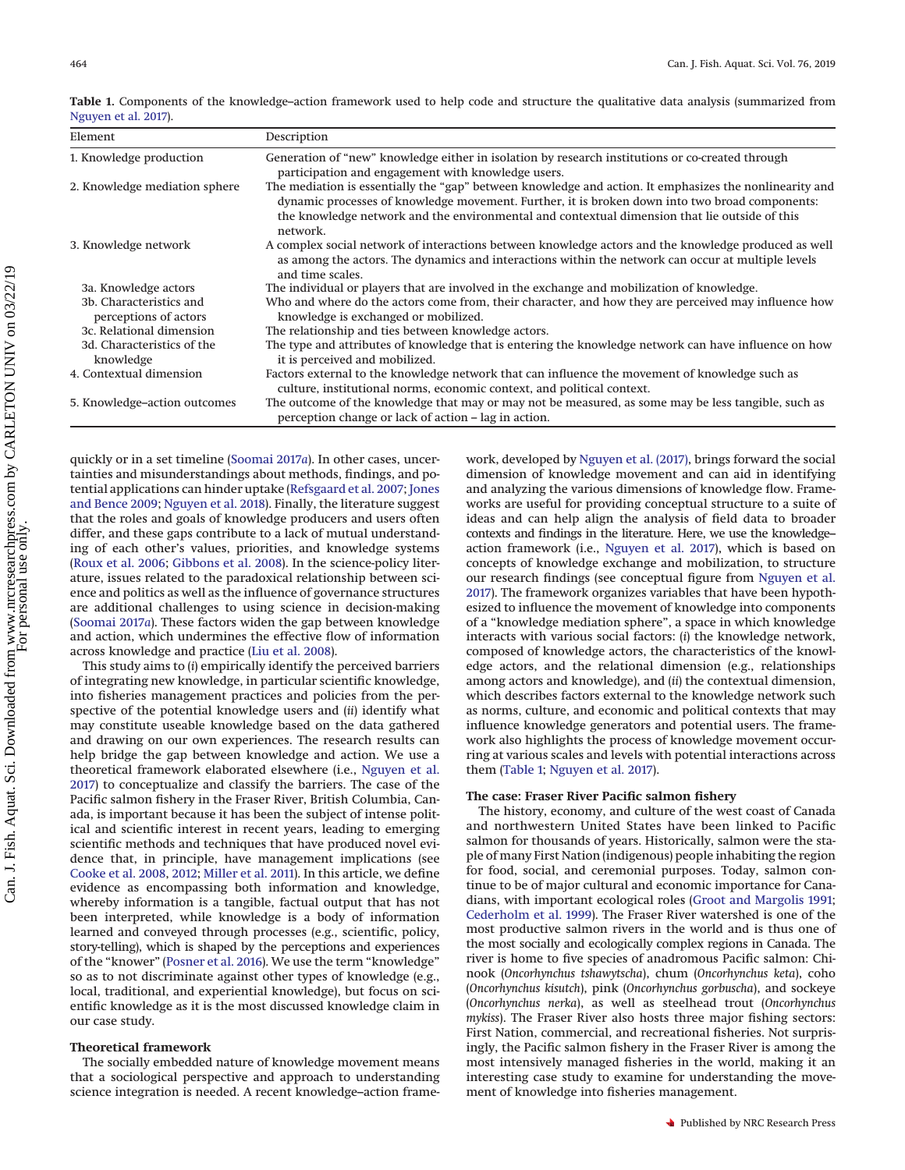<span id="page-1-0"></span>**Table 1.** Components of the knowledge–action framework used to help code and structure the qualitative data analysis (summarized from [Nguyen et al. 2017\)](#page-10-9).

| Element                                          | Description                                                                                                                                                                                                                                                                                                            |  |  |
|--------------------------------------------------|------------------------------------------------------------------------------------------------------------------------------------------------------------------------------------------------------------------------------------------------------------------------------------------------------------------------|--|--|
| 1. Knowledge production                          | Generation of "new" knowledge either in isolation by research institutions or co-created through<br>participation and engagement with knowledge users.                                                                                                                                                                 |  |  |
| 2. Knowledge mediation sphere                    | The mediation is essentially the "gap" between knowledge and action. It emphasizes the nonlinearity and<br>dynamic processes of knowledge movement. Further, it is broken down into two broad components:<br>the knowledge network and the environmental and contextual dimension that lie outside of this<br>network. |  |  |
| 3. Knowledge network                             | A complex social network of interactions between knowledge actors and the knowledge produced as well<br>as among the actors. The dynamics and interactions within the network can occur at multiple levels<br>and time scales.                                                                                         |  |  |
| 3a. Knowledge actors                             | The individual or players that are involved in the exchange and mobilization of knowledge.                                                                                                                                                                                                                             |  |  |
| 3b. Characteristics and<br>perceptions of actors | Who and where do the actors come from, their character, and how they are perceived may influence how<br>knowledge is exchanged or mobilized.                                                                                                                                                                           |  |  |
| 3c. Relational dimension                         | The relationship and ties between knowledge actors.                                                                                                                                                                                                                                                                    |  |  |
| 3d. Characteristics of the<br>knowledge          | The type and attributes of knowledge that is entering the knowledge network can have influence on how<br>it is perceived and mobilized.                                                                                                                                                                                |  |  |
| 4. Contextual dimension                          | Factors external to the knowledge network that can influence the movement of knowledge such as<br>culture, institutional norms, economic context, and political context.                                                                                                                                               |  |  |
| 5. Knowledge-action outcomes                     | The outcome of the knowledge that may or may not be measured, as some may be less tangible, such as<br>perception change or lack of action – lag in action.                                                                                                                                                            |  |  |

quickly or in a set timeline [\(Soomai 2017](#page-10-1)*a*). In other cases, uncertainties and misunderstandings about methods, findings, and potential applications can hinder uptake [\(Refsgaard et al. 2007;](#page-10-3) [Jones](#page-10-4) [and Bence 2009;](#page-10-4) [Nguyen et al. 2018\)](#page-10-5). Finally, the literature suggest that the roles and goals of knowledge producers and users often differ, and these gaps contribute to a lack of mutual understanding of each other's values, priorities, and knowledge systems [\(Roux et al. 2006;](#page-10-6) [Gibbons et al. 2008\)](#page-10-7). In the science-policy literature, issues related to the paradoxical relationship between science and politics as well as the influence of governance structures are additional challenges to using science in decision-making [\(Soomai 2017](#page-10-1)*a*). These factors widen the gap between knowledge and action, which undermines the effective flow of information across knowledge and practice [\(Liu et al. 2008\)](#page-10-8).

This study aims to (*i*) empirically identify the perceived barriers of integrating new knowledge, in particular scientific knowledge, into fisheries management practices and policies from the perspective of the potential knowledge users and (*ii*) identify what may constitute useable knowledge based on the data gathered and drawing on our own experiences. The research results can help bridge the gap between knowledge and action. We use a theoretical framework elaborated elsewhere (i.e., [Nguyen et al.](#page-10-9) [2017\)](#page-10-9) to conceptualize and classify the barriers. The case of the Pacific salmon fishery in the Fraser River, British Columbia, Canada, is important because it has been the subject of intense political and scientific interest in recent years, leading to emerging scientific methods and techniques that have produced novel evidence that, in principle, have management implications (see [Cooke et al. 2008,](#page-10-10) [2012;](#page-10-11) [Miller et al. 2011\)](#page-10-12). In this article, we define evidence as encompassing both information and knowledge, whereby information is a tangible, factual output that has not been interpreted, while knowledge is a body of information learned and conveyed through processes (e.g., scientific, policy, story-telling), which is shaped by the perceptions and experiences of the "knower" [\(Posner et al. 2016\)](#page-10-13). We use the term "knowledge" so as to not discriminate against other types of knowledge (e.g., local, traditional, and experiential knowledge), but focus on scientific knowledge as it is the most discussed knowledge claim in our case study.

# **Theoretical framework**

The socially embedded nature of knowledge movement means that a sociological perspective and approach to understanding science integration is needed. A recent knowledge–action frame-

work, developed by [Nguyen et al. \(2017\),](#page-10-9) brings forward the social dimension of knowledge movement and can aid in identifying and analyzing the various dimensions of knowledge flow. Frameworks are useful for providing conceptual structure to a suite of ideas and can help align the analysis of field data to broader contexts and findings in the literature. Here, we use the knowledge– action framework (i.e., [Nguyen et al. 2017\)](#page-10-9), which is based on concepts of knowledge exchange and mobilization, to structure our research findings (see conceptual figure from [Nguyen et al.](#page-10-9) [2017\)](#page-10-9). The framework organizes variables that have been hypothesized to influence the movement of knowledge into components of a "knowledge mediation sphere", a space in which knowledge interacts with various social factors: (*i*) the knowledge network, composed of knowledge actors, the characteristics of the knowledge actors, and the relational dimension (e.g., relationships among actors and knowledge), and (*ii*) the contextual dimension, which describes factors external to the knowledge network such as norms, culture, and economic and political contexts that may influence knowledge generators and potential users. The framework also highlights the process of knowledge movement occurring at various scales and levels with potential interactions across them [\(Table 1;](#page-1-0) [Nguyen et al. 2017\)](#page-10-9).

## **The case: Fraser River Pacific salmon fishery**

The history, economy, and culture of the west coast of Canada and northwestern United States have been linked to Pacific salmon for thousands of years. Historically, salmon were the staple of many First Nation (indigenous) people inhabiting the region for food, social, and ceremonial purposes. Today, salmon continue to be of major cultural and economic importance for Canadians, with important ecological roles [\(Groot and Margolis 1991;](#page-10-14) [Cederholm et al. 1999\)](#page-9-3). The Fraser River watershed is one of the most productive salmon rivers in the world and is thus one of the most socially and ecologically complex regions in Canada. The river is home to five species of anadromous Pacific salmon: Chinook (*Oncorhynchus tshawytscha*), chum (*Oncorhynchus keta*), coho (*Oncorhynchus kisutch*), pink (*Oncorhynchus gorbuscha*), and sockeye (*Oncorhynchus nerka*), as well as steelhead trout (*Oncorhynchus mykiss*). The Fraser River also hosts three major fishing sectors: First Nation, commercial, and recreational fisheries. Not surprisingly, the Pacific salmon fishery in the Fraser River is among the most intensively managed fisheries in the world, making it an interesting case study to examine for understanding the movement of knowledge into fisheries management.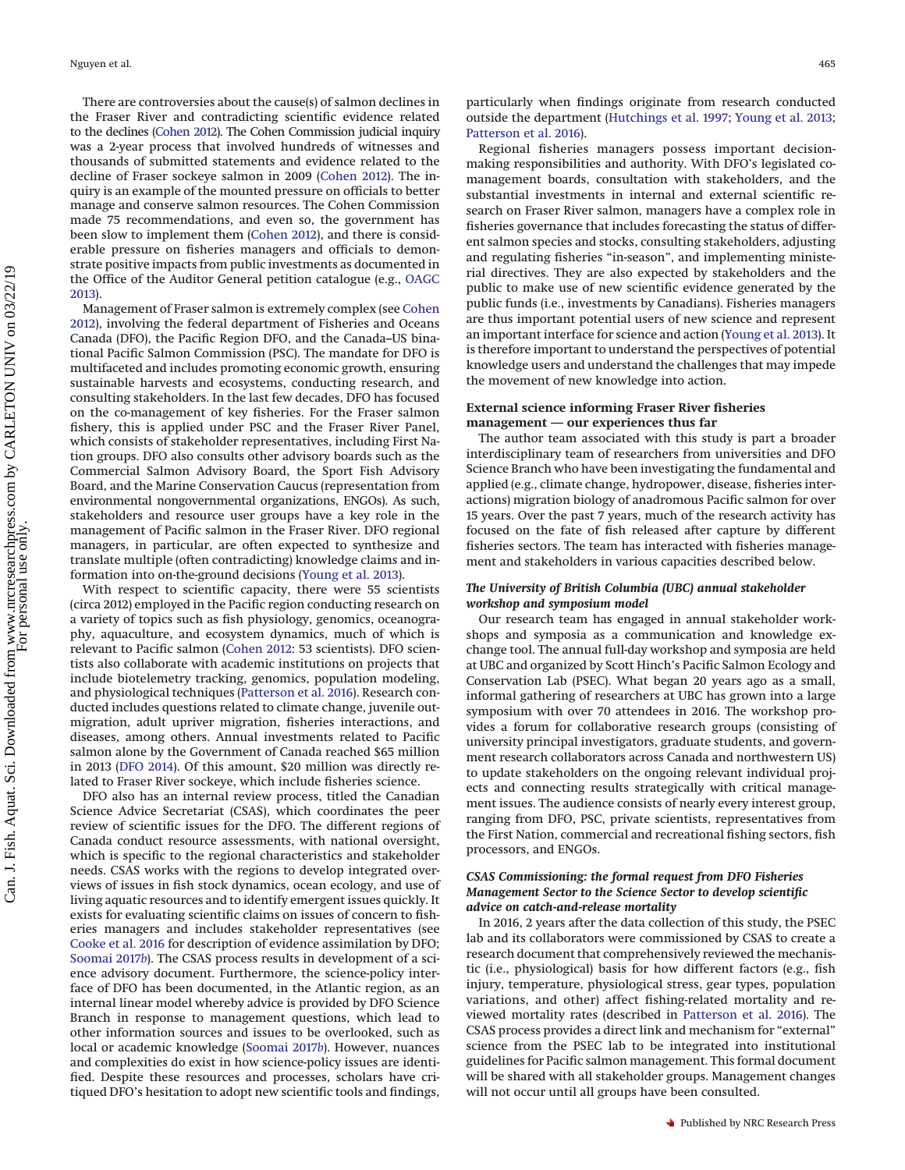There are controversies about the cause(s) of salmon declines in the Fraser River and contradicting scientific evidence related to the declines [\(Cohen 2012\)](#page-9-4). The Cohen Commission judicial inquiry was a 2-year process that involved hundreds of witnesses and thousands of submitted statements and evidence related to the decline of Fraser sockeye salmon in 2009 [\(Cohen 2012\)](#page-9-4). The inquiry is an example of the mounted pressure on officials to better manage and conserve salmon resources. The Cohen Commission made 75 recommendations, and even so, the government has been slow to implement them [\(Cohen 2012\)](#page-9-4), and there is considerable pressure on fisheries managers and officials to demonstrate positive impacts from public investments as documented in the Office of the Auditor General petition catalogue (e.g., [OAGC](#page-10-15) [2013\)](#page-10-15).

Management of Fraser salmon is extremely complex (see [Cohen](#page-9-4) [2012\)](#page-9-4), involving the federal department of Fisheries and Oceans Canada (DFO), the Pacific Region DFO, and the Canada–US binational Pacific Salmon Commission (PSC). The mandate for DFO is multifaceted and includes promoting economic growth, ensuring sustainable harvests and ecosystems, conducting research, and consulting stakeholders. In the last few decades, DFO has focused on the co-management of key fisheries. For the Fraser salmon fishery, this is applied under PSC and the Fraser River Panel, which consists of stakeholder representatives, including First Nation groups. DFO also consults other advisory boards such as the Commercial Salmon Advisory Board, the Sport Fish Advisory Board, and the Marine Conservation Caucus (representation from environmental nongovernmental organizations, ENGOs). As such, stakeholders and resource user groups have a key role in the management of Pacific salmon in the Fraser River. DFO regional managers, in particular, are often expected to synthesize and translate multiple (often contradicting) knowledge claims and information into on-the-ground decisions [\(Young et al. 2013\)](#page-11-1).

With respect to scientific capacity, there were 55 scientists (circa 2012) employed in the Pacific region conducting research on a variety of topics such as fish physiology, genomics, oceanography, aquaculture, and ecosystem dynamics, much of which is relevant to Pacific salmon [\(Cohen 2012:](#page-9-4) 53 scientists). DFO scientists also collaborate with academic institutions on projects that include biotelemetry tracking, genomics, population modeling, and physiological techniques [\(Patterson et al. 2016\)](#page-10-16). Research conducted includes questions related to climate change, juvenile outmigration, adult upriver migration, fisheries interactions, and diseases, among others. Annual investments related to Pacific salmon alone by the Government of Canada reached \$65 million in 2013 [\(DFO 2014\)](#page-10-17). Of this amount, \$20 million was directly related to Fraser River sockeye, which include fisheries science.

DFO also has an internal review process, titled the Canadian Science Advice Secretariat (CSAS), which coordinates the peer review of scientific issues for the DFO. The different regions of Canada conduct resource assessments, with national oversight, which is specific to the regional characteristics and stakeholder needs. CSAS works with the regions to develop integrated overviews of issues in fish stock dynamics, ocean ecology, and use of living aquatic resources and to identify emergent issues quickly. It exists for evaluating scientific claims on issues of concern to fisheries managers and includes stakeholder representatives (see [Cooke et al. 2016](#page-10-18) for description of evidence assimilation by DFO; [Soomai 2017](#page-11-3)*b*). The CSAS process results in development of a science advisory document. Furthermore, the science-policy interface of DFO has been documented, in the Atlantic region, as an internal linear model whereby advice is provided by DFO Science Branch in response to management questions, which lead to other information sources and issues to be overlooked, such as local or academic knowledge [\(Soomai 2017](#page-11-3)*b*). However, nuances and complexities do exist in how science-policy issues are identified. Despite these resources and processes, scholars have critiqued DFO's hesitation to adopt new scientific tools and findings,

particularly when findings originate from research conducted outside the department [\(Hutchings et al. 1997;](#page-10-19) [Young et al. 2013;](#page-11-1) [Patterson et al. 2016\)](#page-10-16).

Regional fisheries managers possess important decisionmaking responsibilities and authority. With DFO's legislated comanagement boards, consultation with stakeholders, and the substantial investments in internal and external scientific research on Fraser River salmon, managers have a complex role in fisheries governance that includes forecasting the status of different salmon species and stocks, consulting stakeholders, adjusting and regulating fisheries "in-season", and implementing ministerial directives. They are also expected by stakeholders and the public to make use of new scientific evidence generated by the public funds (i.e., investments by Canadians). Fisheries managers are thus important potential users of new science and represent an important interface for science and action [\(Young et al. 2013\)](#page-11-1). It is therefore important to understand the perspectives of potential knowledge users and understand the challenges that may impede the movement of new knowledge into action.

# **External science informing Fraser River fisheries management** — **our experiences thus far**

The author team associated with this study is part a broader interdisciplinary team of researchers from universities and DFO Science Branch who have been investigating the fundamental and applied (e.g., climate change, hydropower, disease, fisheries interactions) migration biology of anadromous Pacific salmon for over 15 years. Over the past 7 years, much of the research activity has focused on the fate of fish released after capture by different fisheries sectors. The team has interacted with fisheries management and stakeholders in various capacities described below.

# *The University of British Columbia (UBC) annual stakeholder workshop and symposium model*

Our research team has engaged in annual stakeholder workshops and symposia as a communication and knowledge exchange tool. The annual full-day workshop and symposia are held at UBC and organized by Scott Hinch's Pacific Salmon Ecology and Conservation Lab (PSEC). What began 20 years ago as a small, informal gathering of researchers at UBC has grown into a large symposium with over 70 attendees in 2016. The workshop provides a forum for collaborative research groups (consisting of university principal investigators, graduate students, and government research collaborators across Canada and northwestern US) to update stakeholders on the ongoing relevant individual projects and connecting results strategically with critical management issues. The audience consists of nearly every interest group, ranging from DFO, PSC, private scientists, representatives from the First Nation, commercial and recreational fishing sectors, fish processors, and ENGOs.

# *CSAS Commissioning: the formal request from DFO Fisheries Management Sector to the Science Sector to develop scientific advice on catch-and-release mortality*

In 2016, 2 years after the data collection of this study, the PSEC lab and its collaborators were commissioned by CSAS to create a research document that comprehensively reviewed the mechanistic (i.e., physiological) basis for how different factors (e.g., fish injury, temperature, physiological stress, gear types, population variations, and other) affect fishing-related mortality and reviewed mortality rates (described in [Patterson et al. 2016\)](#page-10-16). The CSAS process provides a direct link and mechanism for "external" science from the PSEC lab to be integrated into institutional guidelines for Pacific salmon management. This formal document will be shared with all stakeholder groups. Management changes will not occur until all groups have been consulted.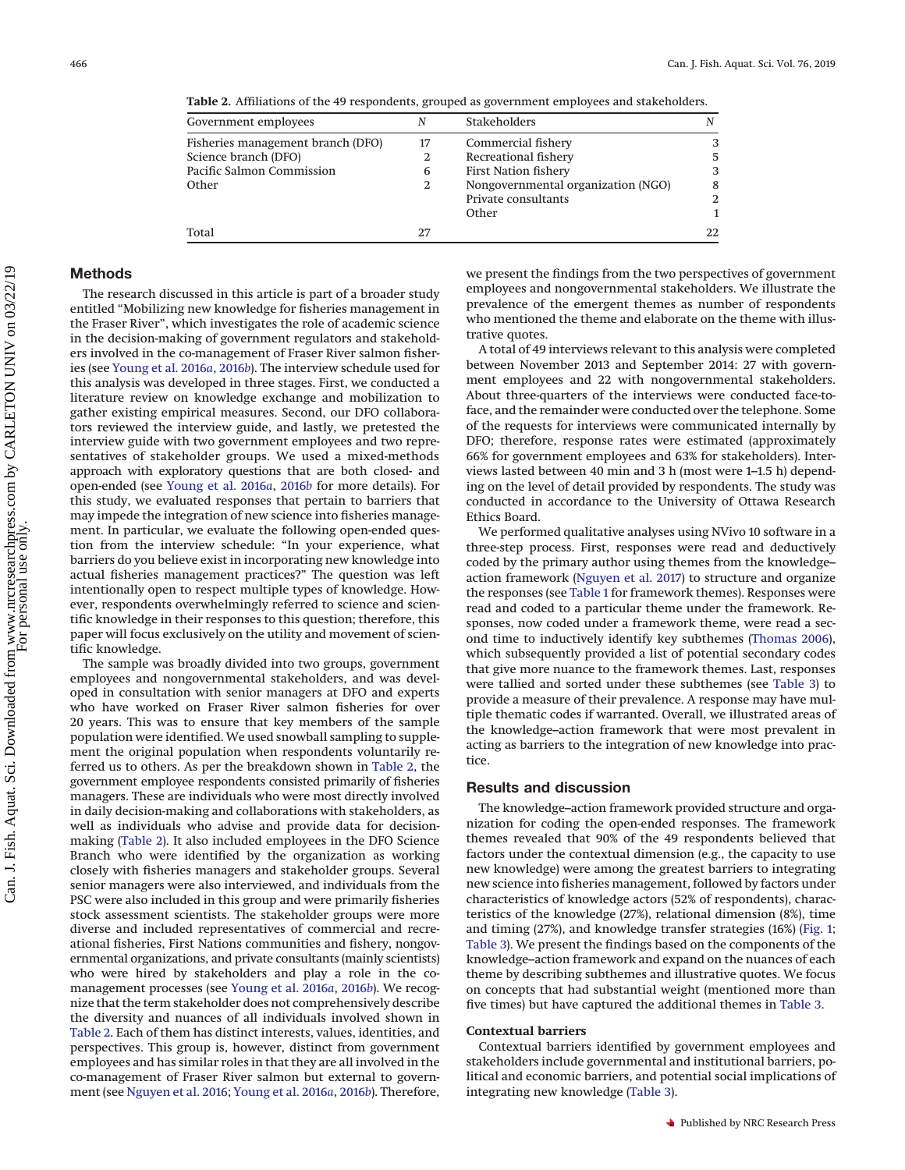| Government employees              | N  | <b>Stakeholders</b>                |    |
|-----------------------------------|----|------------------------------------|----|
| Fisheries management branch (DFO) | 17 | Commercial fishery                 | 3  |
| Science branch (DFO)              | 2  | Recreational fishery               | 5  |
| Pacific Salmon Commission         | 6  | <b>First Nation fishery</b>        | 3  |
| Other                             | 2  | Nongovernmental organization (NGO) | 8  |
|                                   |    | Private consultants                | 2  |
|                                   |    | Other                              |    |
| Total                             | 27 |                                    | 22 |

<span id="page-3-0"></span>**Table 2.** Affiliations of the 49 respondents, grouped as government employees and stakeholders.

# **Methods**

The research discussed in this article is part of a broader study entitled "Mobilizing new knowledge for fisheries management in the Fraser River", which investigates the role of academic science in the decision-making of government regulators and stakeholders involved in the co-management of Fraser River salmon fisheries (see [Young et al. 2016](#page-11-4)*a*, [2016](#page-11-2)*b*). The interview schedule used for this analysis was developed in three stages. First, we conducted a literature review on knowledge exchange and mobilization to gather existing empirical measures. Second, our DFO collaborators reviewed the interview guide, and lastly, we pretested the interview guide with two government employees and two representatives of stakeholder groups. We used a mixed-methods approach with exploratory questions that are both closed- and open-ended (see [Young et al. 2016](#page-11-4)*a*, [2016](#page-11-2)*b* for more details). For this study, we evaluated responses that pertain to barriers that may impede the integration of new science into fisheries management. In particular, we evaluate the following open-ended question from the interview schedule: "In your experience, what barriers do you believe exist in incorporating new knowledge into actual fisheries management practices?" The question was left intentionally open to respect multiple types of knowledge. However, respondents overwhelmingly referred to science and scientific knowledge in their responses to this question; therefore, this paper will focus exclusively on the utility and movement of scientific knowledge.

The sample was broadly divided into two groups, government employees and nongovernmental stakeholders, and was developed in consultation with senior managers at DFO and experts who have worked on Fraser River salmon fisheries for over 20 years. This was to ensure that key members of the sample population were identified. We used snowball sampling to supplement the original population when respondents voluntarily referred us to others. As per the breakdown shown in [Table 2,](#page-3-0) the government employee respondents consisted primarily of fisheries managers. These are individuals who were most directly involved in daily decision-making and collaborations with stakeholders, as well as individuals who advise and provide data for decisionmaking [\(Table 2\)](#page-3-0). It also included employees in the DFO Science Branch who were identified by the organization as working closely with fisheries managers and stakeholder groups. Several senior managers were also interviewed, and individuals from the PSC were also included in this group and were primarily fisheries stock assessment scientists. The stakeholder groups were more diverse and included representatives of commercial and recreational fisheries, First Nations communities and fishery, nongovernmental organizations, and private consultants (mainly scientists) who were hired by stakeholders and play a role in the comanagement processes (see [Young et al. 2016](#page-11-4)*a*, [2016](#page-11-2)*b*). We recognize that the term stakeholder does not comprehensively describe the diversity and nuances of all individuals involved shown in [Table 2.](#page-3-0) Each of them has distinct interests, values, identities, and perspectives. This group is, however, distinct from government employees and has similar roles in that they are all involved in the co-management of Fraser River salmon but external to government (see [Nguyen et al. 2016;](#page-10-20) [Young et al. 2016](#page-11-4)*a*, [2016](#page-11-2)*b*). Therefore, we present the findings from the two perspectives of government employees and nongovernmental stakeholders. We illustrate the prevalence of the emergent themes as number of respondents who mentioned the theme and elaborate on the theme with illustrative quotes.

A total of 49 interviews relevant to this analysis were completed between November 2013 and September 2014: 27 with government employees and 22 with nongovernmental stakeholders. About three-quarters of the interviews were conducted face-toface, and the remainder were conducted over the telephone. Some of the requests for interviews were communicated internally by DFO; therefore, response rates were estimated (approximately 66% for government employees and 63% for stakeholders). Interviews lasted between 40 min and 3 h (most were 1–1.5 h) depending on the level of detail provided by respondents. The study was conducted in accordance to the University of Ottawa Research Ethics Board.

We performed qualitative analyses using NVivo 10 software in a three-step process. First, responses were read and deductively coded by the primary author using themes from the knowledge– action framework [\(Nguyen et al. 2017\)](#page-10-9) to structure and organize the responses (see [Table 1](#page-1-0) for framework themes). Responses were read and coded to a particular theme under the framework. Responses, now coded under a framework theme, were read a second time to inductively identify key subthemes [\(Thomas 2006\)](#page-11-5), which subsequently provided a list of potential secondary codes that give more nuance to the framework themes. Last, responses were tallied and sorted under these subthemes (see [Table 3\)](#page-4-0) to provide a measure of their prevalence. A response may have multiple thematic codes if warranted. Overall, we illustrated areas of the knowledge–action framework that were most prevalent in acting as barriers to the integration of new knowledge into practice.

# **Results and discussion**

The knowledge–action framework provided structure and organization for coding the open-ended responses. The framework themes revealed that 90% of the 49 respondents believed that factors under the contextual dimension (e.g., the capacity to use new knowledge) were among the greatest barriers to integrating new science into fisheries management, followed by factors under characteristics of knowledge actors (52% of respondents), characteristics of the knowledge (27%), relational dimension (8%), time and timing (27%), and knowledge transfer strategies (16%) [\(Fig. 1;](#page-4-1) [Table 3\)](#page-4-0). We present the findings based on the components of the knowledge–action framework and expand on the nuances of each theme by describing subthemes and illustrative quotes. We focus on concepts that had substantial weight (mentioned more than five times) but have captured the additional themes in [Table 3.](#page-4-0)

#### **Contextual barriers**

Contextual barriers identified by government employees and stakeholders include governmental and institutional barriers, political and economic barriers, and potential social implications of integrating new knowledge [\(Table 3\)](#page-4-0).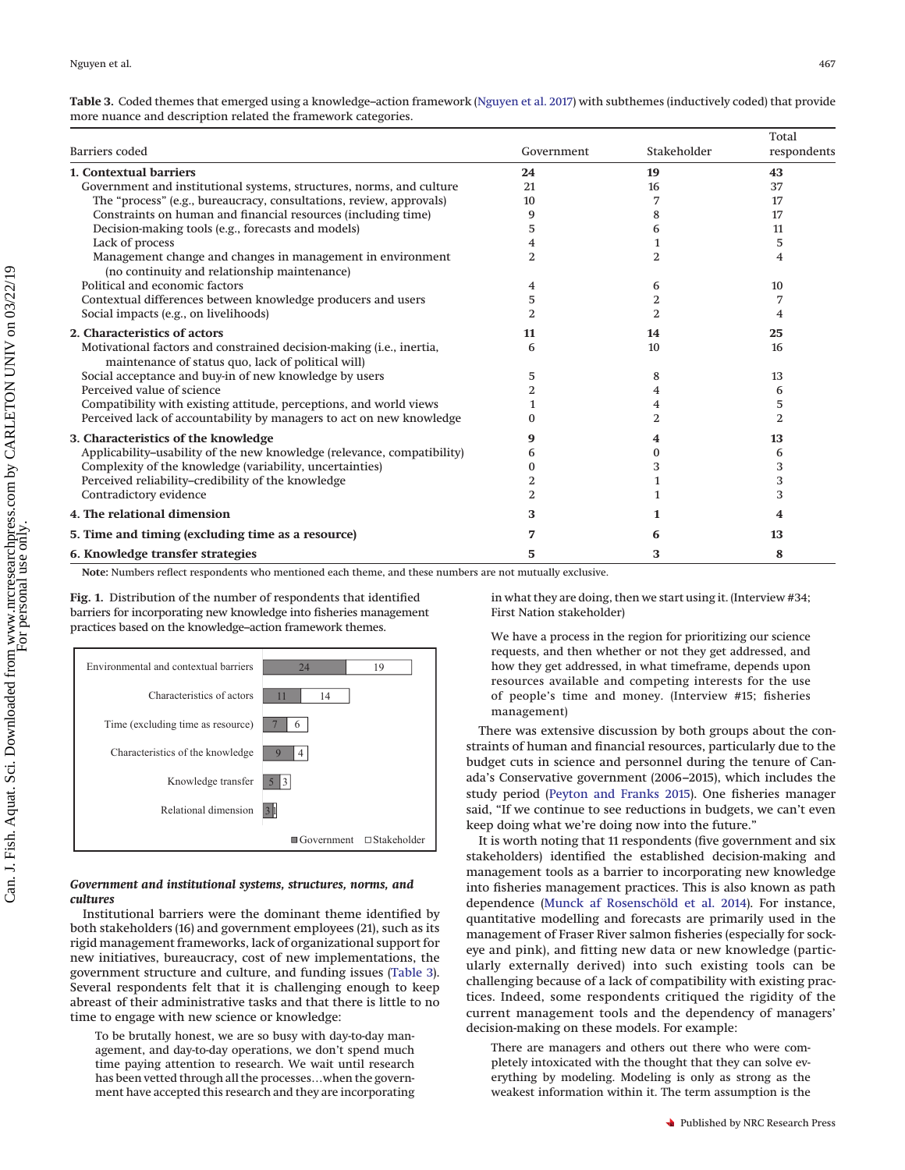<span id="page-4-0"></span>**Table 3.** Coded themes that emerged using a knowledge–action framework [\(Nguyen et al. 2017\)](#page-10-9) with subthemes (inductively coded) that provide more nuance and description related the framework categories.

| Barriers coded                                                                                                             | Government | Stakeholder    | Total<br>respondents |
|----------------------------------------------------------------------------------------------------------------------------|------------|----------------|----------------------|
| 1. Contextual barriers                                                                                                     | 24         | 19             | 43                   |
| Government and institutional systems, structures, norms, and culture                                                       | 21         | 16             | 37                   |
| The "process" (e.g., bureaucracy, consultations, review, approvals)                                                        | 10         |                | 17                   |
| Constraints on human and financial resources (including time)                                                              | 9          | 8              | 17                   |
| Decision-making tools (e.g., forecasts and models)                                                                         | 5          | 6              | 11                   |
| Lack of process                                                                                                            | 4          |                | 5                    |
| Management change and changes in management in environment<br>(no continuity and relationship maintenance)                 | 2          | 2              | 4                    |
| Political and economic factors                                                                                             | 4          | 6              | 10                   |
| Contextual differences between knowledge producers and users                                                               | 5          | $\overline{2}$ | 7                    |
| Social impacts (e.g., on livelihoods)                                                                                      | 2          | $\overline{2}$ | 4                    |
| 2. Characteristics of actors                                                                                               | 11         | 14             | 25                   |
| Motivational factors and constrained decision-making (i.e., inertia,<br>maintenance of status quo, lack of political will) | 6          | 10             | 16                   |
| Social acceptance and buy-in of new knowledge by users                                                                     | 5          | 8              | 13                   |
| Perceived value of science                                                                                                 | 2          | 4              | 6                    |
| Compatibility with existing attitude, perceptions, and world views                                                         |            | 4              | 5                    |
| Perceived lack of accountability by managers to act on new knowledge                                                       | 0          | 2              | 2                    |
| 3. Characteristics of the knowledge                                                                                        | 9          | 4              | 13                   |
| Applicability-usability of the new knowledge (relevance, compatibility)                                                    | 6          | 0              | 6                    |
| Complexity of the knowledge (variability, uncertainties)                                                                   | 0          | 3              | 3                    |
| Perceived reliability-credibility of the knowledge                                                                         | 2          |                | 3                    |
| Contradictory evidence                                                                                                     | 2          |                | 3                    |
| 4. The relational dimension                                                                                                | з          |                | 4                    |
| 5. Time and timing (excluding time as a resource)                                                                          | 7          | 6              | 13                   |
| 6. Knowledge transfer strategies                                                                                           | 5          | з              | 8                    |

**Note:** Numbers reflect respondents who mentioned each theme, and these numbers are not mutually exclusive.

<span id="page-4-1"></span>**Fig. 1.** Distribution of the number of respondents that identified barriers for incorporating new knowledge into fisheries management practices based on the knowledge–action framework themes.



# *Government and institutional systems, structures, norms, and cultures*

Institutional barriers were the dominant theme identified by both stakeholders (16) and government employees (21), such as its rigid management frameworks, lack of organizational support for new initiatives, bureaucracy, cost of new implementations, the government structure and culture, and funding issues [\(Table 3\)](#page-4-0). Several respondents felt that it is challenging enough to keep abreast of their administrative tasks and that there is little to no time to engage with new science or knowledge:

To be brutally honest, we are so busy with day-to-day management, and day-to-day operations, we don't spend much time paying attention to research. We wait until research has been vetted through all the processes…when the government have accepted this research and they are incorporating in what they are doing, then we start using it. (Interview #34; First Nation stakeholder)

We have a process in the region for prioritizing our science requests, and then whether or not they get addressed, and how they get addressed, in what timeframe, depends upon resources available and competing interests for the use of people's time and money. (Interview #15; fisheries management)

There was extensive discussion by both groups about the constraints of human and financial resources, particularly due to the budget cuts in science and personnel during the tenure of Canada's Conservative government (2006–2015), which includes the study period [\(Peyton and Franks 2015\)](#page-10-21). One fisheries manager said, "If we continue to see reductions in budgets, we can't even keep doing what we're doing now into the future."

It is worth noting that 11 respondents (five government and six stakeholders) identified the established decision-making and management tools as a barrier to incorporating new knowledge into fisheries management practices. This is also known as path dependence [\(Munck af Rosenschöld et al. 2014\)](#page-10-22). For instance, quantitative modelling and forecasts are primarily used in the management of Fraser River salmon fisheries (especially for sockeye and pink), and fitting new data or new knowledge (particularly externally derived) into such existing tools can be challenging because of a lack of compatibility with existing practices. Indeed, some respondents critiqued the rigidity of the current management tools and the dependency of managers' decision-making on these models. For example:

There are managers and others out there who were completely intoxicated with the thought that they can solve everything by modeling. Modeling is only as strong as the weakest information within it. The term assumption is the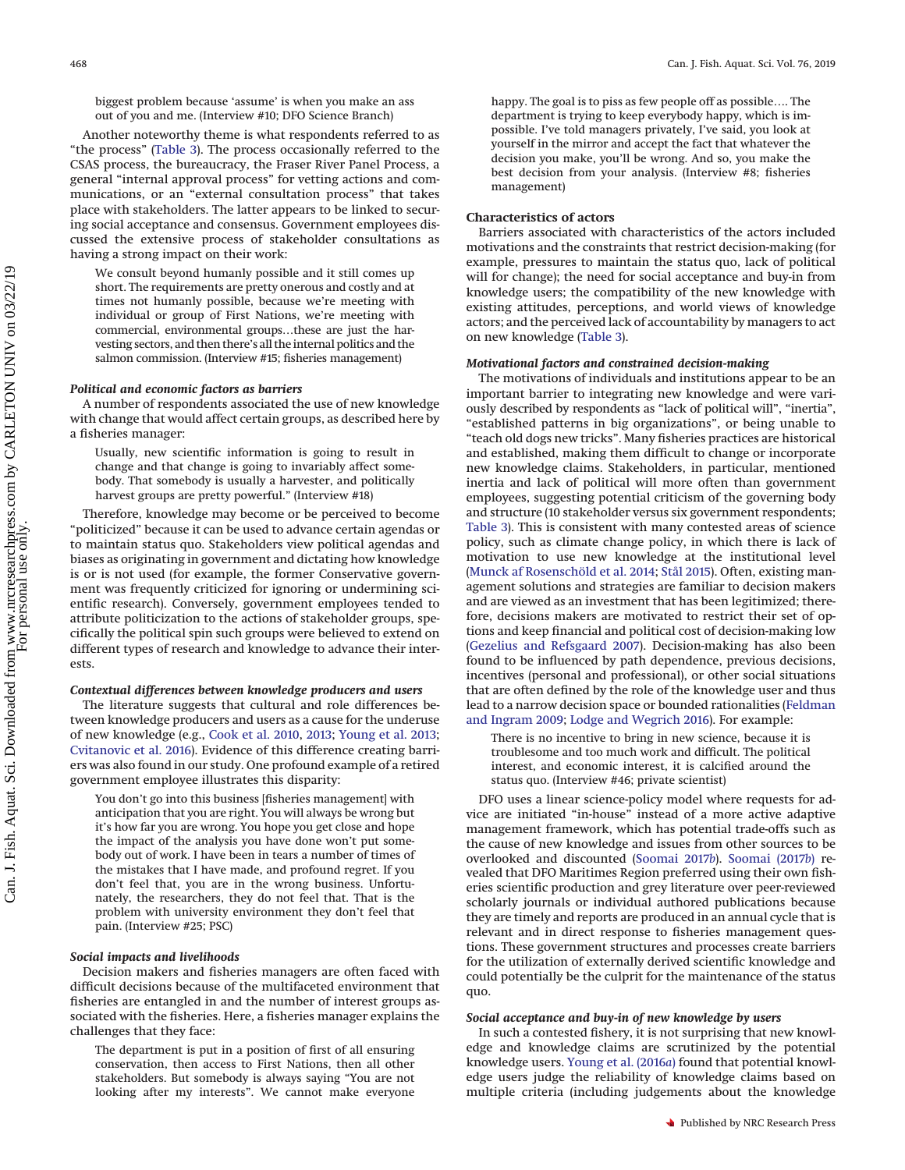biggest problem because 'assume' is when you make an ass out of you and me. (Interview #10; DFO Science Branch)

Another noteworthy theme is what respondents referred to as "the process" [\(Table 3\)](#page-4-0). The process occasionally referred to the CSAS process, the bureaucracy, the Fraser River Panel Process, a general "internal approval process" for vetting actions and communications, or an "external consultation process" that takes place with stakeholders. The latter appears to be linked to securing social acceptance and consensus. Government employees discussed the extensive process of stakeholder consultations as having a strong impact on their work:

We consult beyond humanly possible and it still comes up short. The requirements are pretty onerous and costly and at times not humanly possible, because we're meeting with individual or group of First Nations, we're meeting with commercial, environmental groups…these are just the harvesting sectors, and then there's all the internal politics and the salmon commission. (Interview #15; fisheries management)

# *Political and economic factors as barriers*

A number of respondents associated the use of new knowledge with change that would affect certain groups, as described here by a fisheries manager:

Usually, new scientific information is going to result in change and that change is going to invariably affect somebody. That somebody is usually a harvester, and politically harvest groups are pretty powerful." (Interview #18)

Therefore, knowledge may become or be perceived to become "politicized" because it can be used to advance certain agendas or to maintain status quo. Stakeholders view political agendas and biases as originating in government and dictating how knowledge is or is not used (for example, the former Conservative government was frequently criticized for ignoring or undermining scientific research). Conversely, government employees tended to attribute politicization to the actions of stakeholder groups, specifically the political spin such groups were believed to extend on different types of research and knowledge to advance their interests.

# *Contextual differences between knowledge producers and users*

The literature suggests that cultural and role differences between knowledge producers and users as a cause for the underuse of new knowledge (e.g., [Cook et al. 2010,](#page-9-5) [2013;](#page-10-23) [Young et al. 2013;](#page-11-1) [Cvitanovic et al. 2016\)](#page-10-24). Evidence of this difference creating barriers was also found in our study. One profound example of a retired government employee illustrates this disparity:

You don't go into this business [fisheries management] with anticipation that you are right. You will always be wrong but it's how far you are wrong. You hope you get close and hope the impact of the analysis you have done won't put somebody out of work. I have been in tears a number of times of the mistakes that I have made, and profound regret. If you don't feel that, you are in the wrong business. Unfortunately, the researchers, they do not feel that. That is the problem with university environment they don't feel that pain. (Interview #25; PSC)

#### *Social impacts and livelihoods*

Decision makers and fisheries managers are often faced with difficult decisions because of the multifaceted environment that fisheries are entangled in and the number of interest groups associated with the fisheries. Here, a fisheries manager explains the challenges that they face:

The department is put in a position of first of all ensuring conservation, then access to First Nations, then all other stakeholders. But somebody is always saying "You are not looking after my interests". We cannot make everyone happy. The goal is to piss as few people off as possible…. The department is trying to keep everybody happy, which is impossible. I've told managers privately, I've said, you look at yourself in the mirror and accept the fact that whatever the decision you make, you'll be wrong. And so, you make the best decision from your analysis. (Interview #8; fisheries management)

### **Characteristics of actors**

Barriers associated with characteristics of the actors included motivations and the constraints that restrict decision-making (for example, pressures to maintain the status quo, lack of political will for change); the need for social acceptance and buy-in from knowledge users; the compatibility of the new knowledge with existing attitudes, perceptions, and world views of knowledge actors; and the perceived lack of accountability by managers to act on new knowledge [\(Table 3\)](#page-4-0).

# *Motivational factors and constrained decision-making*

The motivations of individuals and institutions appear to be an important barrier to integrating new knowledge and were variously described by respondents as "lack of political will", "inertia", "established patterns in big organizations", or being unable to "teach old dogs new tricks". Many fisheries practices are historical and established, making them difficult to change or incorporate new knowledge claims. Stakeholders, in particular, mentioned inertia and lack of political will more often than government employees, suggesting potential criticism of the governing body and structure (10 stakeholder versus six government respondents; [Table 3\)](#page-4-0). This is consistent with many contested areas of science policy, such as climate change policy, in which there is lack of motivation to use new knowledge at the institutional level [\(Munck af Rosenschöld et al. 2014;](#page-10-22) [Stål 2015\)](#page-11-6). Often, existing management solutions and strategies are familiar to decision makers and are viewed as an investment that has been legitimized; therefore, decisions makers are motivated to restrict their set of options and keep financial and political cost of decision-making low [\(Gezelius and Refsgaard 2007\)](#page-10-25). Decision-making has also been found to be influenced by path dependence, previous decisions, incentives (personal and professional), or other social situations that are often defined by the role of the knowledge user and thus lead to a narrow decision space or bounded rationalities [\(Feldman](#page-10-26) [and Ingram 2009;](#page-10-26) [Lodge and Wegrich 2016\)](#page-10-27). For example:

There is no incentive to bring in new science, because it is troublesome and too much work and difficult. The political interest, and economic interest, it is calcified around the status quo. (Interview #46; private scientist)

DFO uses a linear science-policy model where requests for advice are initiated "in-house" instead of a more active adaptive management framework, which has potential trade-offs such as the cause of new knowledge and issues from other sources to be overlooked and discounted [\(Soomai 2017](#page-11-3)*b*). [Soomai \(2017](#page-11-3)*b*) revealed that DFO Maritimes Region preferred using their own fisheries scientific production and grey literature over peer-reviewed scholarly journals or individual authored publications because they are timely and reports are produced in an annual cycle that is relevant and in direct response to fisheries management questions. These government structures and processes create barriers for the utilization of externally derived scientific knowledge and could potentially be the culprit for the maintenance of the status quo.

#### *Social acceptance and buy-in of new knowledge by users*

In such a contested fishery, it is not surprising that new knowledge and knowledge claims are scrutinized by the potential knowledge users. [Young et al. \(2016](#page-11-4)*a*) found that potential knowledge users judge the reliability of knowledge claims based on multiple criteria (including judgements about the knowledge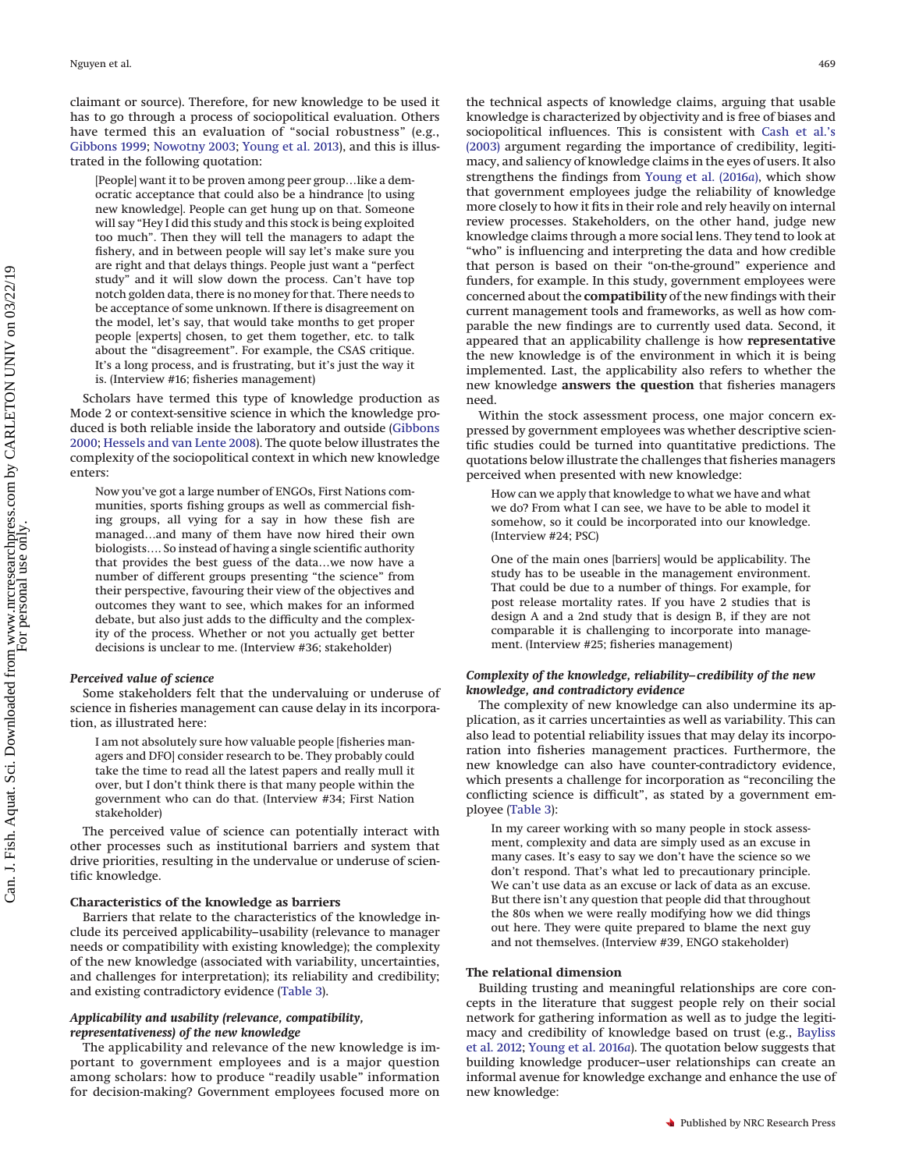claimant or source). Therefore, for new knowledge to be used it has to go through a process of sociopolitical evaluation. Others have termed this an evaluation of "social robustness" (e.g., [Gibbons 1999;](#page-10-28) [Nowotny 2003;](#page-10-29) [Young et al. 2013\)](#page-11-1), and this is illustrated in the following quotation:

[People] want it to be proven among peer group…like a democratic acceptance that could also be a hindrance [to using new knowledge]. People can get hung up on that. Someone will say "Hey I did this study and this stock is being exploited too much". Then they will tell the managers to adapt the fishery, and in between people will say let's make sure you are right and that delays things. People just want a "perfect study" and it will slow down the process. Can't have top notch golden data, there is no money for that. There needs to be acceptance of some unknown. If there is disagreement on the model, let's say, that would take months to get proper people [experts] chosen, to get them together, etc. to talk about the "disagreement". For example, the CSAS critique. It's a long process, and is frustrating, but it's just the way it is. (Interview #16; fisheries management)

Scholars have termed this type of knowledge production as Mode 2 or context-sensitive science in which the knowledge produced is both reliable inside the laboratory and outside [\(Gibbons](#page-10-30) [2000;](#page-10-30) [Hessels and van Lente 2008\)](#page-10-31). The quote below illustrates the complexity of the sociopolitical context in which new knowledge enters:

Now you've got a large number of ENGOs, First Nations communities, sports fishing groups as well as commercial fishing groups, all vying for a say in how these fish are managed…and many of them have now hired their own biologists…. So instead of having a single scientific authority that provides the best guess of the data…we now have a number of different groups presenting "the science" from their perspective, favouring their view of the objectives and outcomes they want to see, which makes for an informed debate, but also just adds to the difficulty and the complexity of the process. Whether or not you actually get better decisions is unclear to me. (Interview #36; stakeholder)

#### *Perceived value of science*

Some stakeholders felt that the undervaluing or underuse of science in fisheries management can cause delay in its incorporation, as illustrated here:

I am not absolutely sure how valuable people [fisheries managers and DFO] consider research to be. They probably could take the time to read all the latest papers and really mull it over, but I don't think there is that many people within the government who can do that. (Interview #34; First Nation stakeholder)

The perceived value of science can potentially interact with other processes such as institutional barriers and system that drive priorities, resulting in the undervalue or underuse of scientific knowledge.

#### **Characteristics of the knowledge as barriers**

Barriers that relate to the characteristics of the knowledge include its perceived applicability–usability (relevance to manager needs or compatibility with existing knowledge); the complexity of the new knowledge (associated with variability, uncertainties, and challenges for interpretation); its reliability and credibility; and existing contradictory evidence [\(Table 3\)](#page-4-0).

# *Applicability and usability (relevance, compatibility, representativeness) of the new knowledge*

The applicability and relevance of the new knowledge is important to government employees and is a major question among scholars: how to produce "readily usable" information for decision-making? Government employees focused more on the technical aspects of knowledge claims, arguing that usable knowledge is characterized by objectivity and is free of biases and sociopolitical influences. This is consistent with [Cash et al.'s](#page-9-0) [\(2003\)](#page-9-0) argument regarding the importance of credibility, legitimacy, and saliency of knowledge claims in the eyes of users. It also strengthens the findings from [Young et al. \(2016](#page-11-4)*a*), which show that government employees judge the reliability of knowledge more closely to how it fits in their role and rely heavily on internal review processes. Stakeholders, on the other hand, judge new knowledge claims through a more social lens. They tend to look at "who" is influencing and interpreting the data and how credible that person is based on their "on-the-ground" experience and funders, for example. In this study, government employees were concerned about the **compatibility** of the new findings with their current management tools and frameworks, as well as how comparable the new findings are to currently used data. Second, it appeared that an applicability challenge is how **representative** the new knowledge is of the environment in which it is being implemented. Last, the applicability also refers to whether the new knowledge **answers the question** that fisheries managers need.

Within the stock assessment process, one major concern expressed by government employees was whether descriptive scientific studies could be turned into quantitative predictions. The quotations below illustrate the challenges that fisheries managers perceived when presented with new knowledge:

How can we apply that knowledge to what we have and what we do? From what I can see, we have to be able to model it somehow, so it could be incorporated into our knowledge. (Interview #24; PSC)

One of the main ones [barriers] would be applicability. The study has to be useable in the management environment. That could be due to a number of things. For example, for post release mortality rates. If you have 2 studies that is design A and a 2nd study that is design B, if they are not comparable it is challenging to incorporate into management. (Interview #25; fisheries management)

# *Complexity of the knowledge, reliability– credibility of the new knowledge, and contradictory evidence*

The complexity of new knowledge can also undermine its application, as it carries uncertainties as well as variability. This can also lead to potential reliability issues that may delay its incorporation into fisheries management practices. Furthermore, the new knowledge can also have counter-contradictory evidence, which presents a challenge for incorporation as "reconciling the conflicting science is difficult", as stated by a government employee [\(Table 3\)](#page-4-0):

In my career working with so many people in stock assessment, complexity and data are simply used as an excuse in many cases. It's easy to say we don't have the science so we don't respond. That's what led to precautionary principle. We can't use data as an excuse or lack of data as an excuse. But there isn't any question that people did that throughout the 80s when we were really modifying how we did things out here. They were quite prepared to blame the next guy and not themselves. (Interview #39, ENGO stakeholder)

#### **The relational dimension**

Building trusting and meaningful relationships are core concepts in the literature that suggest people rely on their social network for gathering information as well as to judge the legitimacy and credibility of knowledge based on trust (e.g., [Bayliss](#page-9-6) [et al. 2012;](#page-9-6) [Young et al. 2016](#page-11-4)*a*). The quotation below suggests that building knowledge producer–user relationships can create an informal avenue for knowledge exchange and enhance the use of new knowledge: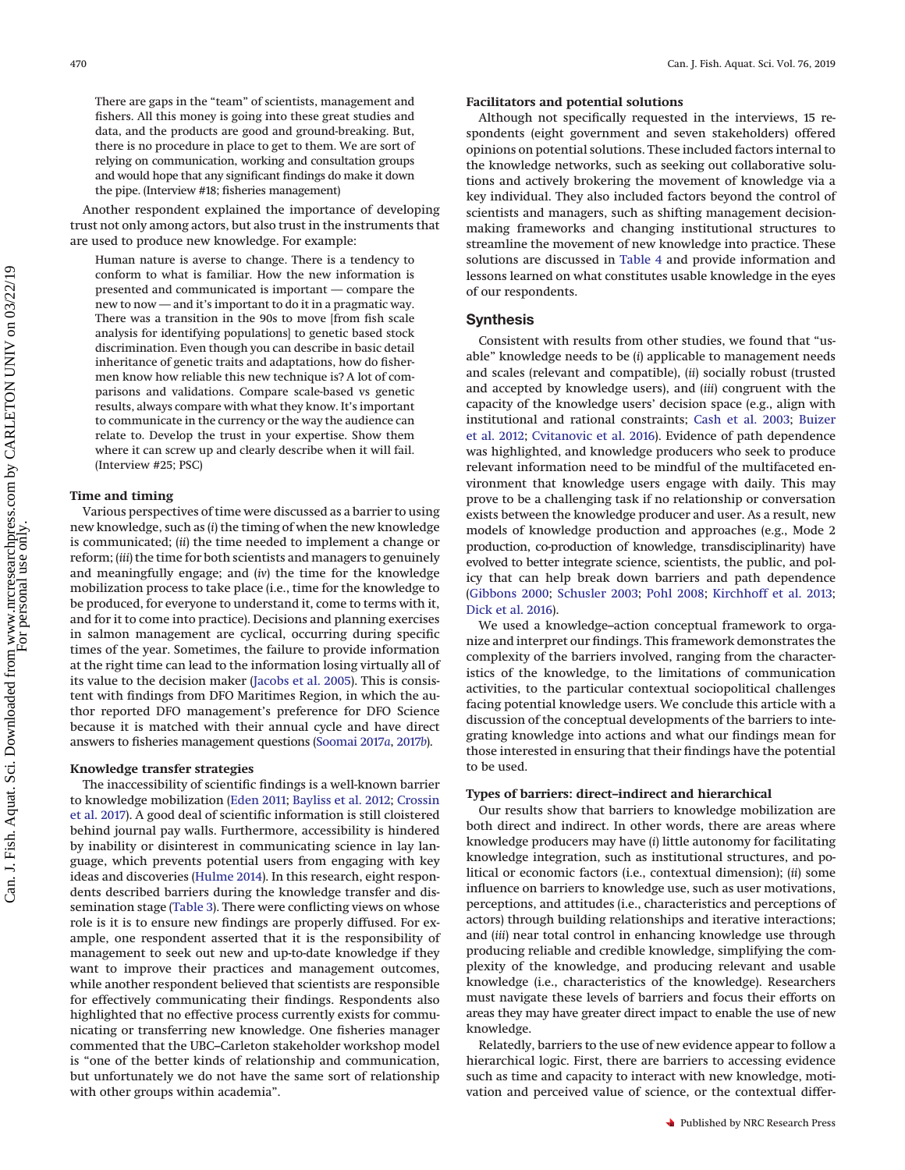There are gaps in the "team" of scientists, management and fishers. All this money is going into these great studies and data, and the products are good and ground-breaking. But, there is no procedure in place to get to them. We are sort of relying on communication, working and consultation groups and would hope that any significant findings do make it down the pipe. (Interview #18; fisheries management)

Another respondent explained the importance of developing trust not only among actors, but also trust in the instruments that are used to produce new knowledge. For example:

Human nature is averse to change. There is a tendency to conform to what is familiar. How the new information is presented and communicated is important — compare the new to now — and it's important to do it in a pragmatic way. There was a transition in the 90s to move [from fish scale analysis for identifying populations] to genetic based stock discrimination. Even though you can describe in basic detail inheritance of genetic traits and adaptations, how do fishermen know how reliable this new technique is? A lot of comparisons and validations. Compare scale-based vs genetic results, always compare with what they know. It's important to communicate in the currency or the way the audience can relate to. Develop the trust in your expertise. Show them where it can screw up and clearly describe when it will fail. (Interview #25; PSC)

# **Time and timing**

Various perspectives of time were discussed as a barrier to using new knowledge, such as (*i*) the timing of when the new knowledge is communicated; (*ii*) the time needed to implement a change or reform; (*iii*) the time for both scientists and managers to genuinely and meaningfully engage; and (*iv*) the time for the knowledge mobilization process to take place (i.e., time for the knowledge to be produced, for everyone to understand it, come to terms with it, and for it to come into practice). Decisions and planning exercises in salmon management are cyclical, occurring during specific times of the year. Sometimes, the failure to provide information at the right time can lead to the information losing virtually all of its value to the decision maker [\(Jacobs et al. 2005\)](#page-10-32). This is consistent with findings from DFO Maritimes Region, in which the author reported DFO management's preference for DFO Science because it is matched with their annual cycle and have direct answers to fisheries management questions [\(Soomai 2017](#page-10-1)*a*, [2017](#page-11-3)*b*).

## **Knowledge transfer strategies**

The inaccessibility of scientific findings is a well-known barrier to knowledge mobilization [\(Eden 2011;](#page-10-33) [Bayliss et al. 2012;](#page-9-6) [Crossin](#page-10-34) [et al. 2017\)](#page-10-34). A good deal of scientific information is still cloistered behind journal pay walls. Furthermore, accessibility is hindered by inability or disinterest in communicating science in lay language, which prevents potential users from engaging with key ideas and discoveries [\(Hulme 2014\)](#page-10-35). In this research, eight respondents described barriers during the knowledge transfer and dissemination stage [\(Table 3\)](#page-4-0). There were conflicting views on whose role is it is to ensure new findings are properly diffused. For example, one respondent asserted that it is the responsibility of management to seek out new and up-to-date knowledge if they want to improve their practices and management outcomes, while another respondent believed that scientists are responsible for effectively communicating their findings. Respondents also highlighted that no effective process currently exists for communicating or transferring new knowledge. One fisheries manager commented that the UBC–Carleton stakeholder workshop model is "one of the better kinds of relationship and communication, but unfortunately we do not have the same sort of relationship with other groups within academia".

## **Facilitators and potential solutions**

Although not specifically requested in the interviews, 15 respondents (eight government and seven stakeholders) offered opinions on potential solutions. These included factors internal to the knowledge networks, such as seeking out collaborative solutions and actively brokering the movement of knowledge via a key individual. They also included factors beyond the control of scientists and managers, such as shifting management decisionmaking frameworks and changing institutional structures to streamline the movement of new knowledge into practice. These solutions are discussed in [Table 4](#page-8-0) and provide information and lessons learned on what constitutes usable knowledge in the eyes of our respondents.

# **Synthesis**

Consistent with results from other studies, we found that "usable" knowledge needs to be (*i*) applicable to management needs and scales (relevant and compatible), (*ii*) socially robust (trusted and accepted by knowledge users), and (*iii*) congruent with the capacity of the knowledge users' decision space (e.g., align with institutional and rational constraints; [Cash et al. 2003;](#page-9-0) [Buizer](#page-9-7) [et al. 2012;](#page-9-7) [Cvitanovic et al. 2016\)](#page-10-24). Evidence of path dependence was highlighted, and knowledge producers who seek to produce relevant information need to be mindful of the multifaceted environment that knowledge users engage with daily. This may prove to be a challenging task if no relationship or conversation exists between the knowledge producer and user. As a result, new models of knowledge production and approaches (e.g., Mode 2 production, co-production of knowledge, transdisciplinarity) have evolved to better integrate science, scientists, the public, and policy that can help break down barriers and path dependence [\(Gibbons 2000;](#page-10-30) [Schusler 2003;](#page-10-36) [Pohl 2008;](#page-10-37) [Kirchhoff et al. 2013;](#page-10-38) [Dick et al. 2016\)](#page-10-39).

We used a knowledge–action conceptual framework to organize and interpret our findings. This framework demonstrates the complexity of the barriers involved, ranging from the characteristics of the knowledge, to the limitations of communication activities, to the particular contextual sociopolitical challenges facing potential knowledge users. We conclude this article with a discussion of the conceptual developments of the barriers to integrating knowledge into actions and what our findings mean for those interested in ensuring that their findings have the potential to be used.

## **Types of barriers: direct–indirect and hierarchical**

Our results show that barriers to knowledge mobilization are both direct and indirect. In other words, there are areas where knowledge producers may have (*i*) little autonomy for facilitating knowledge integration, such as institutional structures, and political or economic factors (i.e., contextual dimension); (*ii*) some influence on barriers to knowledge use, such as user motivations, perceptions, and attitudes (i.e., characteristics and perceptions of actors) through building relationships and iterative interactions; and (*iii*) near total control in enhancing knowledge use through producing reliable and credible knowledge, simplifying the complexity of the knowledge, and producing relevant and usable knowledge (i.e., characteristics of the knowledge). Researchers must navigate these levels of barriers and focus their efforts on areas they may have greater direct impact to enable the use of new knowledge.

Relatedly, barriers to the use of new evidence appear to follow a hierarchical logic. First, there are barriers to accessing evidence such as time and capacity to interact with new knowledge, motivation and perceived value of science, or the contextual differ-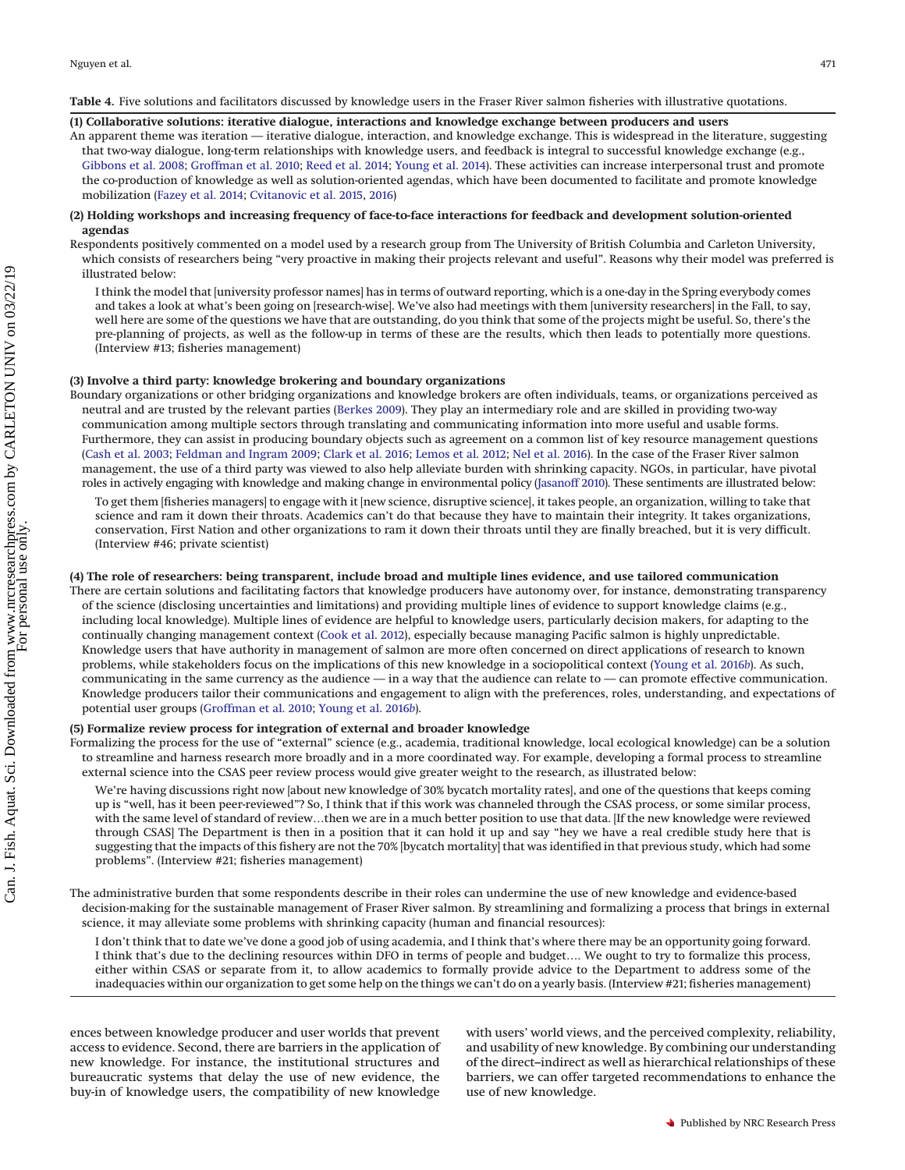# <span id="page-8-0"></span>**(1) Collaborative solutions: iterative dialogue, interactions and knowledge exchange between producers and users**

An apparent theme was iteration — iterative dialogue, interaction, and knowledge exchange. This is widespread in the literature, suggesting that two-way dialogue, long-term relationships with knowledge users, and feedback is integral to successful knowledge exchange (e.g., [Gibbons et al. 2008;](#page-10-7) [Groffman et al. 2010;](#page-10-40) [Reed et al. 2014;](#page-10-41) [Young et al. 2014\)](#page-11-7). These activities can increase interpersonal trust and promote the co-production of knowledge as well as solution-oriented agendas, which have been documented to facilitate and promote knowledge mobilization [\(Fazey et al. 2014;](#page-10-42) [Cvitanovic et al. 2015,](#page-10-43) [2016\)](#page-10-24)

# **(2) Holding workshops and increasing frequency of face-to-face interactions for feedback and development solution-oriented agendas**

Respondents positively commented on a model used by a research group from The University of British Columbia and Carleton University, which consists of researchers being "very proactive in making their projects relevant and useful". Reasons why their model was preferred is illustrated below:

I think the model that [university professor names] has in terms of outward reporting, which is a one-day in the Spring everybody comes and takes a look at what's been going on [research-wise]. We've also had meetings with them [university researchers] in the Fall, to say, well here are some of the questions we have that are outstanding, do you think that some of the projects might be useful. So, there's the pre-planning of projects, as well as the follow-up in terms of these are the results, which then leads to potentially more questions. (Interview #13; fisheries management)

## **(3) Involve a third party: knowledge brokering and boundary organizations**

Boundary organizations or other bridging organizations and knowledge brokers are often individuals, teams, or organizations perceived as neutral and are trusted by the relevant parties [\(Berkes 2009\)](#page-9-8). They play an intermediary role and are skilled in providing two-way communication among multiple sectors through translating and communicating information into more useful and usable forms. Furthermore, they can assist in producing boundary objects such as agreement on a common list of key resource management questions [\(Cash et al. 2003;](#page-9-0) [Feldman and Ingram 2009;](#page-10-26) [Clark et al. 2016;](#page-9-9) [Lemos et al. 2012;](#page-10-44) [Nel et al. 2016\)](#page-10-45). In the case of the Fraser River salmon management, the use of a third party was viewed to also help alleviate burden with shrinking capacity. NGOs, in particular, have pivotal roles in actively engaging with knowledge and making change in environmental policy [\(Jasanoff 2010\)](#page-10-46). These sentiments are illustrated below:

To get them [fisheries managers] to engage with it [new science, disruptive science], it takes people, an organization, willing to take that science and ram it down their throats. Academics can't do that because they have to maintain their integrity. It takes organizations, conservation, First Nation and other organizations to ram it down their throats until they are finally breached, but it is very difficult. (Interview #46; private scientist)

## **(4) The role of researchers: being transparent, include broad and multiple lines evidence, and use tailored communication**

There are certain solutions and facilitating factors that knowledge producers have autonomy over, for instance, demonstrating transparency of the science (disclosing uncertainties and limitations) and providing multiple lines of evidence to support knowledge claims (e.g., including local knowledge). Multiple lines of evidence are helpful to knowledge users, particularly decision makers, for adapting to the continually changing management context [\(Cook et al. 2012\)](#page-9-1), especially because managing Pacific salmon is highly unpredictable. Knowledge users that have authority in management of salmon are more often concerned on direct applications of research to known problems, while stakeholders focus on the implications of this new knowledge in a sociopolitical context [\(Young et al. 2016](#page-11-2)*b*). As such, communicating in the same currency as the audience — in a way that the audience can relate to — can promote effective communication. Knowledge producers tailor their communications and engagement to align with the preferences, roles, understanding, and expectations of potential user groups [\(Groffman et al. 2010;](#page-10-40) [Young et al. 2016](#page-11-2)*b*).

# **(5) Formalize review process for integration of external and broader knowledge**

Formalizing the process for the use of "external" science (e.g., academia, traditional knowledge, local ecological knowledge) can be a solution to streamline and harness research more broadly and in a more coordinated way. For example, developing a formal process to streamline external science into the CSAS peer review process would give greater weight to the research, as illustrated below:

We're having discussions right now [about new knowledge of 30% bycatch mortality rates], and one of the questions that keeps coming up is "well, has it been peer-reviewed"? So, I think that if this work was channeled through the CSAS process, or some similar process, with the same level of standard of review…then we are in a much better position to use that data. [If the new knowledge were reviewed through CSAS] The Department is then in a position that it can hold it up and say "hey we have a real credible study here that is suggesting that the impacts of this fishery are not the 70% [bycatch mortality] that was identified in that previous study, which had some problems". (Interview #21; fisheries management)

I don't think that to date we've done a good job of using academia, and I think that's where there may be an opportunity going forward. I think that's due to the declining resources within DFO in terms of people and budget…. We ought to try to formalize this process, either within CSAS or separate from it, to allow academics to formally provide advice to the Department to address some of the inadequacies within our organization to get some help on the things we can't do on a yearly basis. (Interview #21; fisheries management)

ences between knowledge producer and user worlds that prevent access to evidence. Second, there are barriers in the application of new knowledge. For instance, the institutional structures and bureaucratic systems that delay the use of new evidence, the buy-in of knowledge users, the compatibility of new knowledge

with users' world views, and the perceived complexity, reliability, and usability of new knowledge. By combining our understanding of the direct–indirect as well as hierarchical relationships of these barriers, we can offer targeted recommendations to enhance the use of new knowledge.

The administrative burden that some respondents describe in their roles can undermine the use of new knowledge and evidence-based decision-making for the sustainable management of Fraser River salmon. By streamlining and formalizing a process that brings in external science, it may alleviate some problems with shrinking capacity (human and financial resources):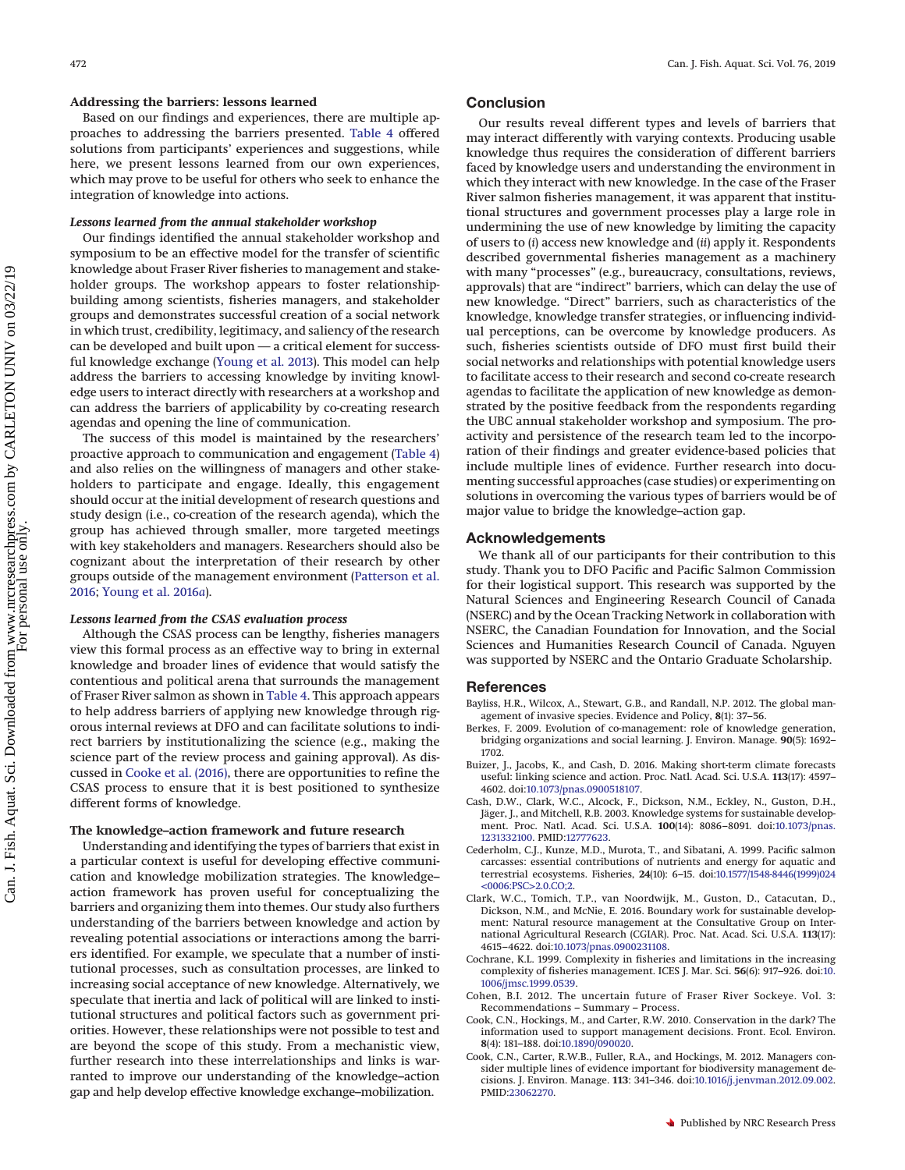## **Addressing the barriers: lessons learned**

Based on our findings and experiences, there are multiple approaches to addressing the barriers presented. [Table 4](#page-8-0) offered solutions from participants' experiences and suggestions, while here, we present lessons learned from our own experiences, which may prove to be useful for others who seek to enhance the integration of knowledge into actions.

#### *Lessons learned from the annual stakeholder workshop*

Our findings identified the annual stakeholder workshop and symposium to be an effective model for the transfer of scientific knowledge about Fraser River fisheries to management and stakeholder groups. The workshop appears to foster relationshipbuilding among scientists, fisheries managers, and stakeholder groups and demonstrates successful creation of a social network in which trust, credibility, legitimacy, and saliency of the research can be developed and built upon — a critical element for successful knowledge exchange [\(Young et al. 2013\)](#page-11-1). This model can help address the barriers to accessing knowledge by inviting knowledge users to interact directly with researchers at a workshop and can address the barriers of applicability by co-creating research agendas and opening the line of communication.

The success of this model is maintained by the researchers' proactive approach to communication and engagement [\(Table 4\)](#page-8-0) and also relies on the willingness of managers and other stakeholders to participate and engage. Ideally, this engagement should occur at the initial development of research questions and study design (i.e., co-creation of the research agenda), which the group has achieved through smaller, more targeted meetings with key stakeholders and managers. Researchers should also be cognizant about the interpretation of their research by other groups outside of the management environment [\(Patterson et al.](#page-10-16) [2016;](#page-10-16) [Young et al. 2016](#page-11-4)*a*).

## *Lessons learned from the CSAS evaluation process*

Although the CSAS process can be lengthy, fisheries managers view this formal process as an effective way to bring in external knowledge and broader lines of evidence that would satisfy the contentious and political arena that surrounds the management of Fraser River salmon as shown in [Table 4.](#page-8-0) This approach appears to help address barriers of applying new knowledge through rigorous internal reviews at DFO and can facilitate solutions to indirect barriers by institutionalizing the science (e.g., making the science part of the review process and gaining approval). As discussed in [Cooke et al. \(2016\),](#page-10-18) there are opportunities to refine the CSAS process to ensure that it is best positioned to synthesize different forms of knowledge.

## **The knowledge–action framework and future research**

Understanding and identifying the types of barriers that exist in a particular context is useful for developing effective communication and knowledge mobilization strategies. The knowledge– action framework has proven useful for conceptualizing the barriers and organizing them into themes. Our study also furthers understanding of the barriers between knowledge and action by revealing potential associations or interactions among the barriers identified. For example, we speculate that a number of institutional processes, such as consultation processes, are linked to increasing social acceptance of new knowledge. Alternatively, we speculate that inertia and lack of political will are linked to institutional structures and political factors such as government priorities. However, these relationships were not possible to test and are beyond the scope of this study. From a mechanistic view, further research into these interrelationships and links is warranted to improve our understanding of the knowledge–action gap and help develop effective knowledge exchange–mobilization.

# **Conclusion**

Our results reveal different types and levels of barriers that may interact differently with varying contexts. Producing usable knowledge thus requires the consideration of different barriers faced by knowledge users and understanding the environment in which they interact with new knowledge. In the case of the Fraser River salmon fisheries management, it was apparent that institutional structures and government processes play a large role in undermining the use of new knowledge by limiting the capacity of users to (*i*) access new knowledge and (*ii*) apply it. Respondents described governmental fisheries management as a machinery with many "processes" (e.g., bureaucracy, consultations, reviews, approvals) that are "indirect" barriers, which can delay the use of new knowledge. "Direct" barriers, such as characteristics of the knowledge, knowledge transfer strategies, or influencing individual perceptions, can be overcome by knowledge producers. As such, fisheries scientists outside of DFO must first build their social networks and relationships with potential knowledge users to facilitate access to their research and second co-create research agendas to facilitate the application of new knowledge as demonstrated by the positive feedback from the respondents regarding the UBC annual stakeholder workshop and symposium. The proactivity and persistence of the research team led to the incorporation of their findings and greater evidence-based policies that include multiple lines of evidence. Further research into documenting successful approaches (case studies) or experimenting on solutions in overcoming the various types of barriers would be of major value to bridge the knowledge–action gap.

# **Acknowledgements**

We thank all of our participants for their contribution to this study. Thank you to DFO Pacific and Pacific Salmon Commission for their logistical support. This research was supported by the Natural Sciences and Engineering Research Council of Canada (NSERC) and by the Ocean Tracking Network in collaboration with NSERC, the Canadian Foundation for Innovation, and the Social Sciences and Humanities Research Council of Canada. Nguyen was supported by NSERC and the Ontario Graduate Scholarship.

# **References**

- <span id="page-9-6"></span>Bayliss, H.R., Wilcox, A., Stewart, G.B., and Randall, N.P. 2012. The global management of invasive species. Evidence and Policy, **8**(1): 37–56.
- <span id="page-9-8"></span>Berkes, F. 2009. Evolution of co-management: role of knowledge generation, bridging organizations and social learning. J. Environ. Manage. **90**(5): 1692– 1702.
- <span id="page-9-7"></span>Buizer, J., Jacobs, K., and Cash, D. 2016. Making short-term climate forecasts useful: linking science and action. Proc. Natl. Acad. Sci. U.S.A. **113**(17): 4597– 4602. doi[:10.1073/pnas.0900518107.](http://dx.doi.org/10.1073/pnas.0900518107)
- <span id="page-9-0"></span>Cash, D.W., Clark, W.C., Alcock, F., Dickson, N.M., Eckley, N., Guston, D.H., Jäger, J., and Mitchell, R.B. 2003. Knowledge systems for sustainable development. Proc. Natl. Acad. Sci. U.S.A. **100**(14): 8086–8091. doi[:10.1073/pnas.](http://dx.doi.org/10.1073/pnas.1231332100) [1231332100.](http://dx.doi.org/10.1073/pnas.1231332100) PMID[:12777623.](http://www.ncbi.nlm.nih.gov/pubmed/12777623)
- <span id="page-9-3"></span>Cederholm, C.J., Kunze, M.D., Murota, T., and Sibatani, A. 1999. Pacific salmon carcasses: essential contributions of nutrients and energy for aquatic and terrestrial ecosystems. Fisheries, **24**(10): 6–15. doi[:10.1577/1548-8446\(1999\)024](http://dx.doi.org/10.1577/1548-8446(1999)024%3C0006%3APSC%3E2.0.CO;2) [<0006:PSC>2.0.CO;2.](http://dx.doi.org/10.1577/1548-8446(1999)024%3C0006%3APSC%3E2.0.CO;2)
- <span id="page-9-9"></span>Clark, W.C., Tomich, T.P., van Noordwijk, M., Guston, D., Catacutan, D., Dickson, N.M., and McNie, E. 2016. Boundary work for sustainable development: Natural resource management at the Consultative Group on International Agricultural Research (CGIAR). Proc. Nat. Acad. Sci. U.S.A. **113**(17): 4615–4622. doi[:10.1073/pnas.0900231108.](http://dx.doi.org/10.1073/pnas.0900231108)
- <span id="page-9-2"></span>Cochrane, K.L. 1999. Complexity in fisheries and limitations in the increasing complexity of fisheries management. ICES J. Mar. Sci. **56**(6): 917–926. doi[:10.](http://dx.doi.org/10.1006/jmsc.1999.0539) [1006/jmsc.1999.0539.](http://dx.doi.org/10.1006/jmsc.1999.0539)
- <span id="page-9-5"></span><span id="page-9-4"></span>Cohen, B.I. 2012. The uncertain future of Fraser River Sockeye. Vol. 3: Recommendations – Summary – Process.
- Cook, C.N., Hockings, M., and Carter, R.W. 2010. Conservation in the dark? The information used to support management decisions. Front. Ecol. Environ. **8**(4): 181–188. doi[:10.1890/090020.](http://dx.doi.org/10.1890/090020)
- <span id="page-9-1"></span>Cook, C.N., Carter, R.W.B., Fuller, R.A., and Hockings, M. 2012. Managers consider multiple lines of evidence important for biodiversity management decisions. J. Environ. Manage. **113**: 341–346. doi[:10.1016/j.jenvman.2012.09.002.](http://dx.doi.org/10.1016/j.jenvman.2012.09.002) PMID[:23062270.](http://www.ncbi.nlm.nih.gov/pubmed/23062270)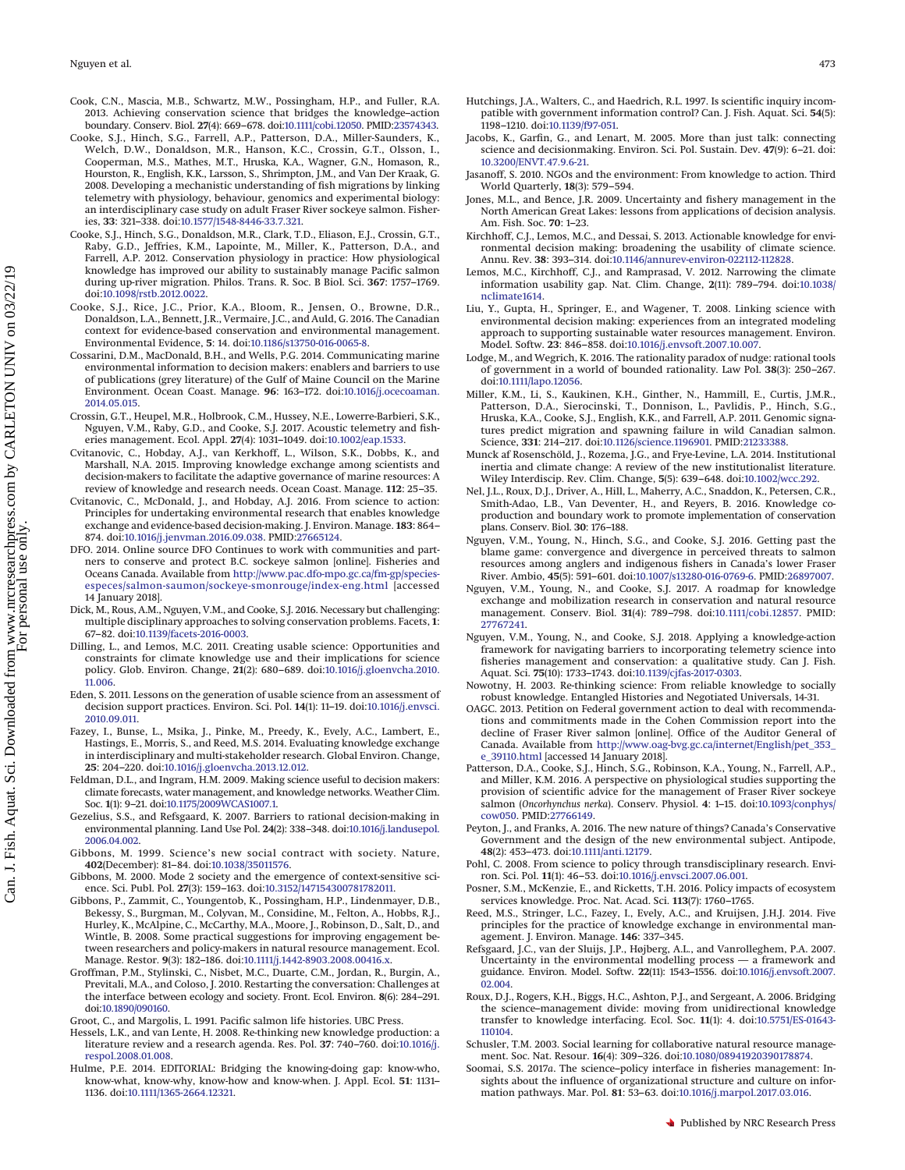- <span id="page-10-23"></span>Cook, C.N., Mascia, M.B., Schwartz, M.W., Possingham, H.P., and Fuller, R.A. 2013. Achieving conservation science that bridges the knowledge–action boundary. Conserv. Biol. **27**(4): 669–678. doi[:10.1111/cobi.12050.](http://dx.doi.org/10.1111/cobi.12050) PMID[:23574343.](http://www.ncbi.nlm.nih.gov/pubmed/23574343)
- <span id="page-10-10"></span>Cooke, S.J., Hinch, S.G., Farrell, A.P., Patterson, D.A., Miller-Saunders, K., Welch, D.W., Donaldson, M.R., Hanson, K.C., Crossin, G.T., Olsson, I., Cooperman, M.S., Mathes, M.T., Hruska, K.A., Wagner, G.N., Homason, R., Hourston, R., English, K.K., Larsson, S., Shrimpton, J.M., and Van Der Kraak, G. 2008. Developing a mechanistic understanding of fish migrations by linking telemetry with physiology, behaviour, genomics and experimental biology: an interdisciplinary case study on adult Fraser River sockeye salmon. Fisheries, **33**: 321–338. doi[:10.1577/1548-8446-33.7.321.](http://dx.doi.org/10.1577/1548-8446-33.7.321)
- <span id="page-10-11"></span>Cooke, S.J., Hinch, S.G., Donaldson, M.R., Clark, T.D., Eliason, E.J., Crossin, G.T., Raby, G.D., Jeffries, K.M., Lapointe, M., Miller, K., Patterson, D.A., and Farrell, A.P. 2012. Conservation physiology in practice: How physiological knowledge has improved our ability to sustainably manage Pacific salmon during up-river migration. Philos. Trans. R. Soc. B Biol. Sci. **367**: 1757–1769. doi[:10.1098/rstb.2012.0022.](http://dx.doi.org/10.1098/rstb.2012.0022)
- <span id="page-10-18"></span>Cooke, S.J., Rice, J.C., Prior, K.A., Bloom, R., Jensen, O., Browne, D.R., Donaldson, L.A., Bennett, J.R., Vermaire, J.C., and Auld, G. 2016. The Canadian context for evidence-based conservation and environmental management. Environmental Evidence, **5**: 14. doi[:10.1186/s13750-016-0065-8.](http://dx.doi.org/10.1186/s13750-016-0065-8)
- <span id="page-10-0"></span>Cossarini, D.M., MacDonald, B.H., and Wells, P.G. 2014. Communicating marine environmental information to decision makers: enablers and barriers to use of publications (grey literature) of the Gulf of Maine Council on the Marine Environment. Ocean Coast. Manage. **96**: 163–172. doi[:10.1016/j.ocecoaman.](http://dx.doi.org/10.1016/j.ocecoaman.2014.05.015) [2014.05.015.](http://dx.doi.org/10.1016/j.ocecoaman.2014.05.015)
- <span id="page-10-34"></span>Crossin, G.T., Heupel, M.R., Holbrook, C.M., Hussey, N.E., Lowerre-Barbieri, S.K., Nguyen, V.M., Raby, G.D., and Cooke, S.J. 2017. Acoustic telemetry and fisheries management. Ecol. Appl. **27**(4): 1031–1049. doi[:10.1002/eap.1533.](http://dx.doi.org/10.1002/eap.1533)
- <span id="page-10-43"></span>Cvitanovic, C., Hobday, A.J., van Kerkhoff, L., Wilson, S.K., Dobbs, K., and Marshall, N.A. 2015. Improving knowledge exchange among scientists and decision-makers to facilitate the adaptive governance of marine resources: A review of knowledge and research needs. Ocean Coast. Manage. **112**: 25–35.
- <span id="page-10-24"></span>Cvitanovic, C., McDonald, J., and Hobday, A.J. 2016. From science to action: Principles for undertaking environmental research that enables knowledge exchange and evidence-based decision-making. J. Environ. Manage. **183**: 864– 874. doi[:10.1016/j.jenvman.2016.09.038.](http://dx.doi.org/10.1016/j.jenvman.2016.09.038) PMID[:27665124.](http://www.ncbi.nlm.nih.gov/pubmed/27665124)
- <span id="page-10-17"></span>DFO. 2014. Online source DFO Continues to work with communities and partners to conserve and protect B.C. sockeye salmon [online]. Fisheries and Oceans Canada. Available from [http://www.pac.dfo-mpo.gc.ca/fm-gp/species](http://www.pac.dfo-mpo.gc.ca/fm-gp/species-especes/salmon-saumon/sockeye-smonrouge/index-eng.html)[especes/salmon-saumon/sockeye-smonrouge/index-eng.html](http://www.pac.dfo-mpo.gc.ca/fm-gp/species-especes/salmon-saumon/sockeye-smonrouge/index-eng.html) [accessed 14 January 2018].
- <span id="page-10-39"></span>Dick, M., Rous, A.M., Nguyen, V.M., and Cooke, S.J. 2016. Necessary but challenging: multiple disciplinary approaches to solving conservation problems. Facets, **1**: 67–82. doi[:10.1139/facets-2016-0003.](http://dx.doi.org/10.1139/facets-2016-0003)
- <span id="page-10-2"></span>Dilling, L., and Lemos, M.C. 2011. Creating usable science: Opportunities and constraints for climate knowledge use and their implications for science policy. Glob. Environ. Change, **21**(2): 680–689. doi[:10.1016/j.gloenvcha.2010.](http://dx.doi.org/10.1016/j.gloenvcha.2010.11.006) [11.006.](http://dx.doi.org/10.1016/j.gloenvcha.2010.11.006)
- <span id="page-10-33"></span>Eden, S. 2011. Lessons on the generation of usable science from an assessment of decision support practices. Environ. Sci. Pol. **14**(1): 11–19. doi[:10.1016/j.envsci.](http://dx.doi.org/10.1016/j.envsci.2010.09.011) [2010.09.011.](http://dx.doi.org/10.1016/j.envsci.2010.09.011)
- <span id="page-10-42"></span>Fazey, I., Bunse, L., Msika, J., Pinke, M., Preedy, K., Evely, A.C., Lambert, E., Hastings, E., Morris, S., and Reed, M.S. 2014. Evaluating knowledge exchange in interdisciplinary and multi-stakeholder research. Global Environ. Change, **25**: 204–220. doi[:10.1016/j.gloenvcha.2013.12.012.](http://dx.doi.org/10.1016/j.gloenvcha.2013.12.012)
- <span id="page-10-26"></span>Feldman, D.L., and Ingram, H.M. 2009. Making science useful to decision makers: climate forecasts, water management, and knowledge networks. Weather Clim. Soc. **1**(1): 9–21. doi[:10.1175/2009WCAS1007.1.](http://dx.doi.org/10.1175/2009WCAS1007.1)
- <span id="page-10-25"></span>Gezelius, S.S., and Refsgaard, K. 2007. Barriers to rational decision-making in environmental planning. Land Use Pol. **24**(2): 338–348. doi[:10.1016/j.landusepol.](http://dx.doi.org/10.1016/j.landusepol.2006.04.002) [2006.04.002.](http://dx.doi.org/10.1016/j.landusepol.2006.04.002)
- <span id="page-10-28"></span>Gibbons, M. 1999. Science's new social contract with society. Nature, **402**(December): 81–84. doi[:10.1038/35011576.](http://dx.doi.org/10.1038/35011576)
- <span id="page-10-30"></span><span id="page-10-7"></span>Gibbons, M. 2000. Mode 2 society and the emergence of context-sensitive science. Sci. Publ. Pol. **27**(3): 159–163. doi[:10.3152/147154300781782011.](http://dx.doi.org/10.3152/147154300781782011)
- Gibbons, P., Zammit, C., Youngentob, K., Possingham, H.P., Lindenmayer, D.B., Bekessy, S., Burgman, M., Colyvan, M., Considine, M., Felton, A., Hobbs, R.J., Hurley, K., McAlpine, C., McCarthy, M.A., Moore, J., Robinson, D., Salt, D., and Wintle, B. 2008. Some practical suggestions for improving engagement between researchers and policy-makers in natural resource management. Ecol. Manage. Restor. **9**(3): 182–186. doi[:10.1111/j.1442-8903.2008.00416.x.](http://dx.doi.org/10.1111/j.1442-8903.2008.00416.x)
- <span id="page-10-40"></span>Groffman, P.M., Stylinski, C., Nisbet, M.C., Duarte, C.M., Jordan, R., Burgin, A., Previtali, M.A., and Coloso, J. 2010. Restarting the conversation: Challenges at the interface between ecology and society. Front. Ecol. Environ. **8**(6): 284–291. doi[:10.1890/090160.](http://dx.doi.org/10.1890/090160)
- <span id="page-10-31"></span><span id="page-10-14"></span>Groot, C., and Margolis, L. 1991. Pacific salmon life histories. UBC Press.
- Hessels, L.K., and van Lente, H. 2008. Re-thinking new knowledge production: a literature review and a research agenda. Res. Pol. **37**: 740–760. doi[:10.1016/j.](http://dx.doi.org/10.1016/j.respol.2008.01.008) [respol.2008.01.008.](http://dx.doi.org/10.1016/j.respol.2008.01.008)
- <span id="page-10-35"></span>Hulme, P.E. 2014. EDITORIAL: Bridging the knowing-doing gap: know-who, know-what, know-why, know-how and know-when. J. Appl. Ecol. **51**: 1131– 1136. doi[:10.1111/1365-2664.12321.](http://dx.doi.org/10.1111/1365-2664.12321)
- <span id="page-10-19"></span>Hutchings, J.A., Walters, C., and Haedrich, R.L. 1997. Is scientific inquiry incompatible with government information control? Can. J. Fish. Aquat. Sci. **54**(5): 1198–1210. doi[:10.1139/f97-051.](http://dx.doi.org/10.1139/f97-051)
- <span id="page-10-32"></span>Jacobs, K., Garfin, G., and Lenart, M. 2005. More than just talk: connecting science and decisionmaking. Environ. Sci. Pol. Sustain. Dev. **47**(9): 6–21. doi: [10.3200/ENVT.47.9.6-21.](http://dx.doi.org/10.3200/ENVT.47.9.6-21)
- <span id="page-10-46"></span>Jasanoff, S. 2010. NGOs and the environment: From knowledge to action. Third World Quarterly, **18**(3): 579–594.
- <span id="page-10-4"></span>Jones, M.L., and Bence, J.R. 2009. Uncertainty and fishery management in the North American Great Lakes: lessons from applications of decision analysis. Am. Fish. Soc. **70**: 1–23.
- <span id="page-10-38"></span>Kirchhoff, C.J., Lemos, M.C., and Dessai, S. 2013. Actionable knowledge for environmental decision making: broadening the usability of climate science. Annu. Rev. **38**: 393–314. doi[:10.1146/annurev-environ-022112-112828.](http://dx.doi.org/10.1146/annurev-environ-022112-112828)
- <span id="page-10-44"></span>Lemos, M.C., Kirchhoff, C.J., and Ramprasad, V. 2012. Narrowing the climate information usability gap. Nat. Clim. Change, **2**(11): 789–794. doi[:10.1038/](http://dx.doi.org/10.1038/nclimate1614) [nclimate1614.](http://dx.doi.org/10.1038/nclimate1614)
- <span id="page-10-8"></span>Liu, Y., Gupta, H., Springer, E., and Wagener, T. 2008. Linking science with environmental decision making: experiences from an integrated modeling approach to supporting sustainable water resources management. Environ. Model. Softw. **23**: 846–858. doi[:10.1016/j.envsoft.2007.10.007.](http://dx.doi.org/10.1016/j.envsoft.2007.10.007)
- <span id="page-10-27"></span>Lodge, M., and Wegrich, K. 2016. The rationality paradox of nudge: rational tools of government in a world of bounded rationality. Law Pol. **38**(3): 250–267. doi[:10.1111/lapo.12056.](http://dx.doi.org/10.1111/lapo.12056)
- <span id="page-10-12"></span>Miller, K.M., Li, S., Kaukinen, K.H., Ginther, N., Hammill, E., Curtis, J.M.R., Patterson, D.A., Sierocinski, T., Donnison, L., Pavlidis, P., Hinch, S.G., Hruska, K.A., Cooke, S.J., English, K.K., and Farrell, A.P. 2011. Genomic signatures predict migration and spawning failure in wild Canadian salmon. Science, **331**: 214–217. doi[:10.1126/science.1196901.](http://dx.doi.org/10.1126/science.1196901) PMID[:21233388.](http://www.ncbi.nlm.nih.gov/pubmed/21233388)
- <span id="page-10-22"></span>Munck af Rosenschöld, J., Rozema, J.G., and Frye-Levine, L.A. 2014. Institutional inertia and climate change: A review of the new institutionalist literature. Wiley Interdiscip. Rev. Clim. Change, **5**(5): 639–648. doi[:10.1002/wcc.292.](http://dx.doi.org/10.1002/wcc.292)
- <span id="page-10-45"></span>Nel, J.L., Roux, D.J., Driver, A., Hill, L., Maherry, A.C., Snaddon, K., Petersen, C.R., Smith-Adao, L.B., Van Deventer, H., and Reyers, B. 2016. Knowledge coproduction and boundary work to promote implementation of conservation plans. Conserv. Biol. **30**: 176–188.
- <span id="page-10-20"></span>Nguyen, V.M., Young, N., Hinch, S.G., and Cooke, S.J. 2016. Getting past the blame game: convergence and divergence in perceived threats to salmon resources among anglers and indigenous fishers in Canada's lower Fraser River. Ambio, **45**(5): 591–601. doi[:10.1007/s13280-016-0769-6.](http://dx.doi.org/10.1007/s13280-016-0769-6) PMID[:26897007.](http://www.ncbi.nlm.nih.gov/pubmed/26897007)
- <span id="page-10-9"></span>Nguyen, V.M., Young, N., and Cooke, S.J. 2017. A roadmap for knowledge exchange and mobilization research in conservation and natural resource management. Conserv. Biol. **31**(4): 789–798. doi[:10.1111/cobi.12857.](http://dx.doi.org/10.1111/cobi.12857) PMID: [27767241.](http://www.ncbi.nlm.nih.gov/pubmed/27767241)
- <span id="page-10-5"></span>Nguyen, V.M., Young, N., and Cooke, S.J. 2018. Applying a knowledge-action framework for navigating barriers to incorporating telemetry science into fisheries management and conservation: a qualitative study. Can J. Fish. Aquat. Sci. **75**(10): 1733–1743. doi[:10.1139/cjfas-2017-0303.](http://dx.doi.org/10.1139/cjfas-2017-0303)
- <span id="page-10-29"></span>Nowotny, H. 2003. Re-thinking science: From reliable knowledge to socially robust knowledge. Entangled Histories and Negotiated Universals, 14-31.
- <span id="page-10-15"></span>OAGC. 2013. Petition on Federal government action to deal with recommendations and commitments made in the Cohen Commission report into the decline of Fraser River salmon [online]. Office of the Auditor General of Canada. Available from [http://www.oag-bvg.gc.ca/internet/English/pet\\_353\\_](http://www.oag-bvg.gc.ca/internet/English/pet_353_e_39110.html) [e\\_39110.html](http://www.oag-bvg.gc.ca/internet/English/pet_353_e_39110.html) [accessed 14 January 2018].
- <span id="page-10-16"></span>Patterson, D.A., Cooke, S.J., Hinch, S.G., Robinson, K.A., Young, N., Farrell, A.P., and Miller, K.M. 2016. A perspective on physiological studies supporting the provision of scientific advice for the management of Fraser River sockeye salmon (*Oncorhynchus nerka*). Conserv. Physiol. **4**: 1–15. doi[:10.1093/conphys/](http://dx.doi.org/10.1093/conphys/cow050) [cow050.](http://dx.doi.org/10.1093/conphys/cow050) PMID[:27766149.](http://www.ncbi.nlm.nih.gov/pubmed/27766149)
- <span id="page-10-21"></span>Peyton, J., and Franks, A. 2016. The new nature of things? Canada's Conservative Government and the design of the new environmental subject. Antipode, **48**(2): 453–473. doi[:10.1111/anti.12179.](http://dx.doi.org/10.1111/anti.12179)
- <span id="page-10-37"></span>Pohl, C. 2008. From science to policy through transdisciplinary research. Environ. Sci. Pol. **11**(1): 46–53. doi[:10.1016/j.envsci.2007.06.001.](http://dx.doi.org/10.1016/j.envsci.2007.06.001)
- <span id="page-10-13"></span>Posner, S.M., McKenzie, E., and Ricketts, T.H. 2016. Policy impacts of ecosystem services knowledge. Proc. Nat. Acad. Sci. **113**(7): 1760–1765.
- <span id="page-10-41"></span>Reed, M.S., Stringer, L.C., Fazey, I., Evely, A.C., and Kruijsen, J.H.J. 2014. Five principles for the practice of knowledge exchange in environmental management. J. Environ. Manage. **146**: 337–345.
- <span id="page-10-3"></span>Refsgaard, J.C., van der Sluijs, J.P., Højberg, A.L., and Vanrolleghem, P.A. 2007. Uncertainty in the environmental modelling process — a framework and guidance. Environ. Model. Softw. **22**(11): 1543–1556. doi[:10.1016/j.envsoft.2007.](http://dx.doi.org/10.1016/j.envsoft.2007.02.004) [02.004.](http://dx.doi.org/10.1016/j.envsoft.2007.02.004)
- <span id="page-10-6"></span>Roux, D.J., Rogers, K.H., Biggs, H.C., Ashton, P.J., and Sergeant, A. 2006. Bridging the science–management divide: moving from unidirectional knowledge transfer to knowledge interfacing. Ecol. Soc. **11**(1): 4. doi[:10.5751/ES-01643-](http://dx.doi.org/10.5751/ES-01643-110104) [110104.](http://dx.doi.org/10.5751/ES-01643-110104)
- <span id="page-10-36"></span>Schusler, T.M. 2003. Social learning for collaborative natural resource management. Soc. Nat. Resour. **16**(4): 309–326. doi[:10.1080/08941920390178874.](http://dx.doi.org/10.1080/08941920390178874)
- <span id="page-10-1"></span>Soomai, S.S. 2017*a*. The science–policy interface in fisheries management: Insights about the influence of organizational structure and culture on information pathways. Mar. Pol. **81**: 53–63. doi[:10.1016/j.marpol.2017.03.016.](http://dx.doi.org/10.1016/j.marpol.2017.03.016)